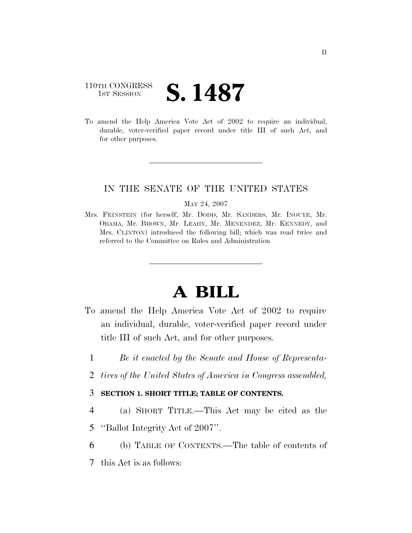### 110TH CONGRESS **1**ST SESSION **S. 1487**

To amend the Help America Vote Act of 2002 to require an individual, durable, voter-verified paper record under title III of such Act, and for other purposes.

#### IN THE SENATE OF THE UNITED STATES

#### MAY 24, 2007

Mrs. FEINSTEIN (for herself, Mr. DODD, Mr. SANDERS, Mr. INOUYE, Mr. OBAMA, Mr. BROWN, Mr. LEAHY, Mr. MENENDEZ, Mr. KENNEDY, and Mrs. CLINTON) introduced the following bill; which was read twice and referred to the Committee on Rules and Administration

# **A BILL**

- To amend the Help America Vote Act of 2002 to require an individual, durable, voter-verified paper record under title III of such Act, and for other purposes.
	- 1 *Be it enacted by the Senate and House of Representa-*
	- 2 *tives of the United States of America in Congress assembled,*

#### 3 **SECTION 1. SHORT TITLE; TABLE OF CONTENTS.**

- 4 (a) SHORT TITLE.—This Act may be cited as the
- 5 ''Ballot Integrity Act of 2007''.
- 6 (b) TABLE OF CONTENTS.—The table of contents of
- 7 this Act is as follows: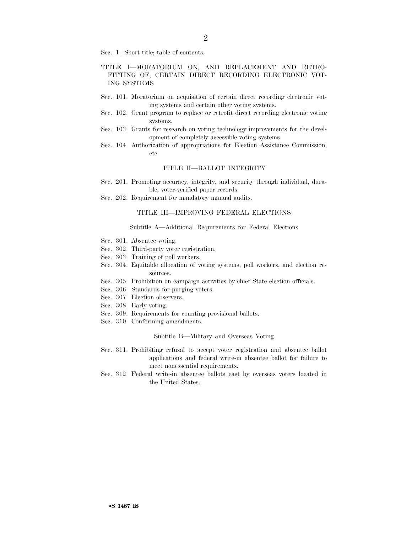Sec. 1. Short title; table of contents.

#### TITLE I—MORATORIUM ON, AND REPLACEMENT AND RETRO-FITTING OF, CERTAIN DIRECT RECORDING ELECTRONIC VOT-ING SYSTEMS

- Sec. 101. Moratorium on acquisition of certain direct recording electronic voting systems and certain other voting systems.
- Sec. 102. Grant program to replace or retrofit direct recording electronic voting systems.
- Sec. 103. Grants for research on voting technology improvements for the development of completely accessible voting systems.
- Sec. 104. Authorization of appropriations for Election Assistance Commission; etc.

#### TITLE II—BALLOT INTEGRITY

- Sec. 201. Promoting accuracy, integrity, and security through individual, durable, voter-verified paper records.
- Sec. 202. Requirement for mandatory manual audits.

#### TITLE III—IMPROVING FEDERAL ELECTIONS

#### Subtitle A—Additional Requirements for Federal Elections

- Sec. 301. Absentee voting.
- Sec. 302. Third-party voter registration.
- Sec. 303. Training of poll workers.
- Sec. 304. Equitable allocation of voting systems, poll workers, and election resources.
- Sec. 305. Prohibition on campaign activities by chief State election officials.
- Sec. 306. Standards for purging voters.
- Sec. 307. Election observers.
- Sec. 308. Early voting.
- Sec. 309. Requirements for counting provisional ballots.
- Sec. 310. Conforming amendments.

#### Subtitle B—Military and Overseas Voting

- Sec. 311. Prohibiting refusal to accept voter registration and absentee ballot applications and federal write-in absentee ballot for failure to meet nonessential requirements.
- Sec. 312. Federal write-in absentee ballots cast by overseas voters located in the United States.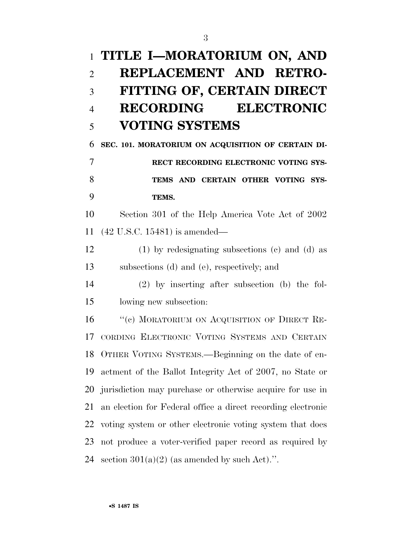# **TITLE I—MORATORIUM ON, AND REPLACEMENT AND RETRO- FITTING OF, CERTAIN DIRECT RECORDING ELECTRONIC VOTING SYSTEMS**

 **SEC. 101. MORATORIUM ON ACQUISITION OF CERTAIN DI- RECT RECORDING ELECTRONIC VOTING SYS- TEMS AND CERTAIN OTHER VOTING SYS-TEMS.** 

 Section 301 of the Help America Vote Act of 2002 (42 U.S.C. 15481) is amended—

 (1) by redesignating subsections (c) and (d) as subsections (d) and (e), respectively; and

 (2) by inserting after subsection (b) the fol-lowing new subsection:

16 "(c) MORATORIUM ON ACQUISITION OF DIRECT RE- CORDING ELECTRONIC VOTING SYSTEMS AND CERTAIN OTHER VOTING SYSTEMS.—Beginning on the date of en- actment of the Ballot Integrity Act of 2007, no State or jurisdiction may purchase or otherwise acquire for use in an election for Federal office a direct recording electronic voting system or other electronic voting system that does not produce a voter-verified paper record as required by 24 section  $301(a)(2)$  (as amended by such Act).".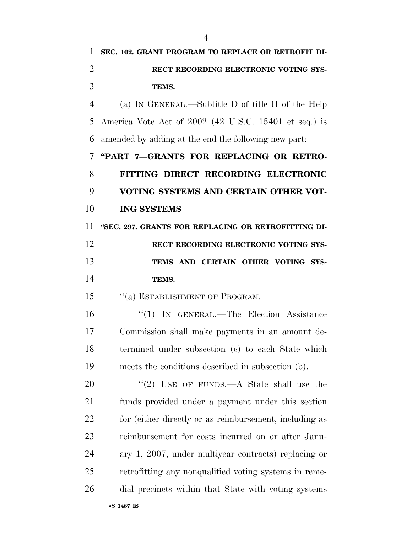| 1              | SEC. 102. GRANT PROGRAM TO REPLACE OR RETROFIT DI-     |
|----------------|--------------------------------------------------------|
| $\overline{2}$ | RECT RECORDING ELECTRONIC VOTING SYS-                  |
| 3              | TEMS.                                                  |
| $\overline{4}$ | (a) IN GENERAL.—Subtitle D of title II of the Help     |
| 5              | America Vote Act of 2002 (42 U.S.C. 15401 et seq.) is  |
| 6              | amended by adding at the end the following new part.   |
| 7              | "PART 7-GRANTS FOR REPLACING OR RETRO-                 |
| 8              | FITTING DIRECT RECORDING ELECTRONIC                    |
| 9              | VOTING SYSTEMS AND CERTAIN OTHER VOT-                  |
| 10             | <b>ING SYSTEMS</b>                                     |
| 11             | "SEC. 297. GRANTS FOR REPLACING OR RETROFITTING DI-    |
| 12             | RECT RECORDING ELECTRONIC VOTING SYS-                  |
| 13             | TEMS AND CERTAIN OTHER VOTING SYS-                     |
| 14             | TEMS.                                                  |
| 15             | "(a) ESTABLISHMENT OF PROGRAM.—                        |
| 16             | "(1) IN GENERAL.—The Election Assistance               |
| 17             | Commission shall make payments in an amount de-        |
| 18             | termined under subsection (c) to each State which      |
| 19             | meets the conditions described in subsection (b).      |
| 20             | "(2) USE OF FUNDS.—A State shall use the               |
| 21             | funds provided under a payment under this section      |
| 22             | for (either directly or as reimbursement, including as |
| 23             | reimbursement for costs incurred on or after Janu-     |
| 24             | ary 1, 2007, under multiyear contracts) replacing or   |
| 25             | retrofitting any nonqualified voting systems in reme-  |
| 26             | dial precincts within that State with voting systems   |
|                |                                                        |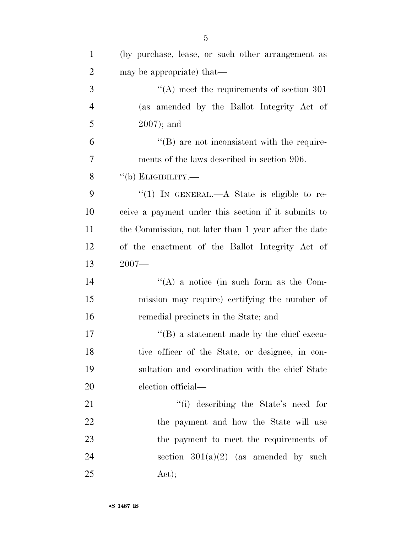| $\mathbf{1}$   | (by purchase, lease, or such other arrangement as    |
|----------------|------------------------------------------------------|
| $\overline{2}$ | may be appropriate) that—                            |
| 3              | $\cdot$ (A) meet the requirements of section 301     |
| $\overline{4}$ | (as amended by the Ballot Integrity Act of           |
| 5              | $2007$ ; and                                         |
| 6              | $\lq\lq (B)$ are not inconsistent with the require-  |
| 7              | ments of the laws described in section 906.          |
| 8              | $``$ (b) ELIGIBILITY.—                               |
| 9              | "(1) IN GENERAL.—A State is eligible to re-          |
| 10             | ceive a payment under this section if it submits to  |
| 11             | the Commission, not later than 1 year after the date |
| 12             | of the enactment of the Ballot Integrity Act of      |
| 13             | $2007 -$                                             |
| 14             | "(A) a notice (in such form as the Com-              |
| 15             | mission may require) certifying the number of        |
| 16             | remedial precincts in the State; and                 |
| 17             | $\lq\lq (B)$ a statement made by the chief execu-    |
| 18             | tive officer of the State, or designee, in con-      |
| 19             | sultation and coordination with the chief State      |
| 20             | election official—                                   |
| 21             | "(i) describing the State's need for                 |
| 22             | the payment and how the State will use               |
|                |                                                      |
| 23             | the payment to meet the requirements of              |
| 24             | section $301(a)(2)$ (as amended by such              |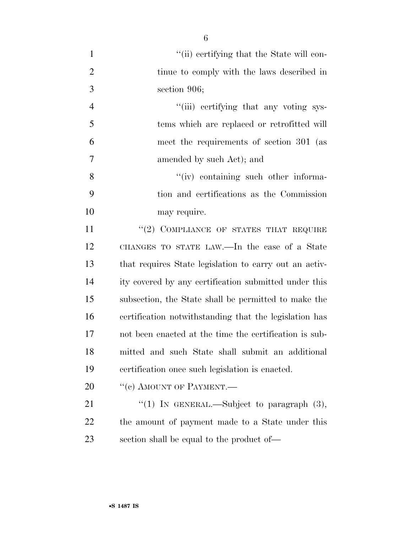| $\mathbf{1}$   | "(ii) certifying that the State will con-              |
|----------------|--------------------------------------------------------|
| $\overline{2}$ | tinue to comply with the laws described in             |
| 3              | section 906;                                           |
| $\overline{4}$ | "(iii) certifying that any voting sys-                 |
| 5              | tems which are replaced or retrofitted will            |
| 6              | meet the requirements of section 301 (as               |
| 7              | amended by such Act); and                              |
| 8              | "(iv) containing such other informa-                   |
| 9              | tion and certifications as the Commission              |
| 10             | may require.                                           |
| 11             | "(2) COMPLIANCE OF STATES THAT REQUIRE                 |
| 12             | CHANGES TO STATE LAW.—In the case of a State           |
| 13             | that requires State legislation to carry out an activ- |
| 14             | ity covered by any certification submitted under this  |
| 15             | subsection, the State shall be permitted to make the   |
| 16             | certification notwithstanding that the legislation has |
| 17             | not been enacted at the time the certification is sub- |
| 18             | mitted and such State shall submit an additional       |
| 19             | certification once such legislation is enacted.        |
| 20             | "(c) AMOUNT OF PAYMENT.—                               |
| 21             | "(1) IN GENERAL.—Subject to paragraph $(3)$ ,          |
| 22             | the amount of payment made to a State under this       |
| 23             | section shall be equal to the product of—              |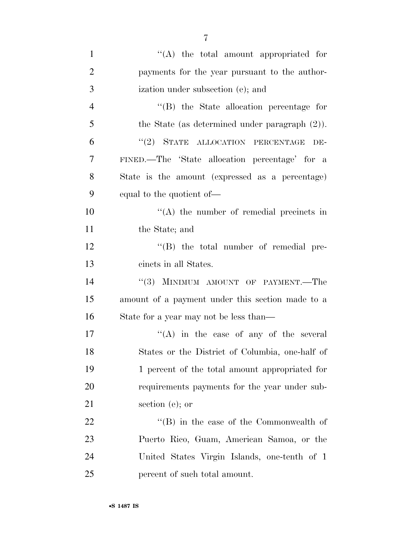| $\mathbf{1}$   | "(A) the total amount appropriated for            |
|----------------|---------------------------------------------------|
| $\overline{2}$ | payments for the year pursuant to the author-     |
| 3              | ization under subsection (e); and                 |
| $\overline{4}$ | "(B) the State allocation percentage for          |
| 5              | the State (as determined under paragraph $(2)$ ). |
| 6              | "(2) STATE ALLOCATION PERCENTAGE<br>DE-           |
| 7              | FINED.—The 'State allocation percentage' for a    |
| 8              | State is the amount (expressed as a percentage)   |
| 9              | equal to the quotient of—                         |
| 10             | "(A) the number of remedial precincts in          |
| 11             | the State; and                                    |
| 12             | $\lq\lq (B)$ the total number of remedial pre-    |
| 13             | cincts in all States.                             |
| 14             | "(3) MINIMUM AMOUNT OF PAYMENT.—The               |
| 15             | amount of a payment under this section made to a  |
| 16             | State for a year may not be less than—            |
| 17             | $\lq\lq$ in the case of any of the several        |
| 18             | States or the District of Columbia, one-half of   |
| 19             | 1 percent of the total amount appropriated for    |
| 20             | requirements payments for the year under sub-     |
| 21             | section $(e)$ ; or                                |
| 22             | $\lq\lq (B)$ in the case of the Commonwealth of   |
| 23             | Puerto Rico, Guam, American Samoa, or the         |
| 24             | United States Virgin Islands, one-tenth of 1      |
| 25             | percent of such total amount.                     |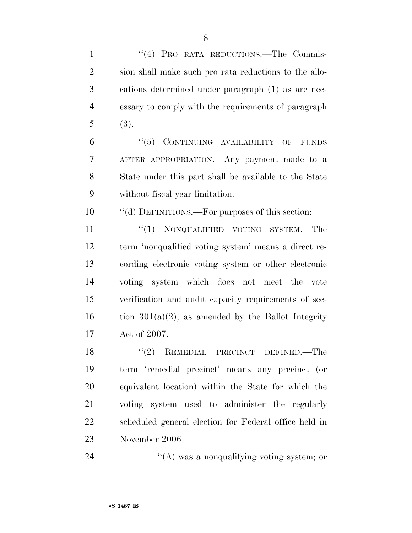| $\mathbf{1}$   | "(4) PRO RATA REDUCTIONS.—The Commis-                 |
|----------------|-------------------------------------------------------|
| $\overline{2}$ | sion shall make such pro rata reductions to the allo- |
| 3              | cations determined under paragraph (1) as are nec-    |
| $\overline{4}$ | essary to comply with the requirements of paragraph   |
| 5              | (3).                                                  |
| 6              | $``(5)$ CONTINUING AVAILABILITY OF<br><b>FUNDS</b>    |
| 7              | AFTER APPROPRIATION.—Any payment made to a            |
| 8              | State under this part shall be available to the State |
| 9              | without fiscal year limitation.                       |
| 10             | "(d) DEFINITIONS.—For purposes of this section:       |
| 11             | ``(1)<br>NONQUALIFIED VOTING SYSTEM.—The              |
| 12             | term 'nonqualified voting system' means a direct re-  |
| 13             | cording electronic voting system or other electronic  |
| 14             | voting system which does not meet the vote            |
| 15             | verification and audit capacity requirements of sec-  |
| 16             | tion $301(a)(2)$ , as amended by the Ballot Integrity |
| 17             | Act of 2007.                                          |
| 18             | "(2) REMEDIAL PRECINCT DEFINED.—The                   |
| 19             | term 'remedial precinct' means any precinct (or       |
| 20             | equivalent location) within the State for which the   |
| 21             | voting system used to administer the regularly        |
| 22             | scheduled general election for Federal office held in |
| 23             | November 2006-                                        |
|                |                                                       |

24 ''(A) was a nonqualifying voting system; or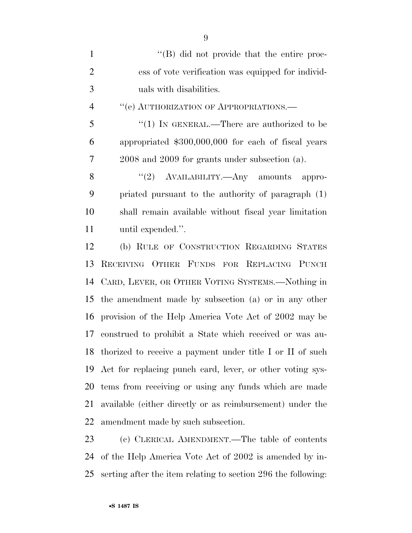| $\mathbf{1}$   | $\lq\lq (B)$ did not provide that the entire proc-           |
|----------------|--------------------------------------------------------------|
| $\overline{2}$ | ess of vote verification was equipped for individ-           |
| 3              | uals with disabilities.                                      |
| $\overline{4}$ | "(e) AUTHORIZATION OF APPROPRIATIONS.—                       |
| 5              | " $(1)$ IN GENERAL.—There are authorized to be               |
| 6              | appropriated \$300,000,000 for each of fiscal years          |
| $\tau$         | 2008 and 2009 for grants under subsection (a).               |
| 8              | "(2) AVAILABILITY.—Any amounts appro-                        |
| 9              | priated pursuant to the authority of paragraph (1)           |
| 10             | shall remain available without fiscal year limitation        |
| 11             | until expended.".                                            |
| 12             | (b) RULE OF CONSTRUCTION REGARDING STATES                    |
| 13             | RECEIVING OTHER FUNDS FOR REPLACING PUNCH                    |
| 14             | CARD, LEVER, OR OTHER VOTING SYSTEMS.—Nothing in             |
| 15             | the amendment made by subsection (a) or in any other         |
| 16             | provision of the Help America Vote Act of 2002 may be        |
| 17             | construed to prohibit a State which received or was au-      |
|                | 18 thorized to receive a payment under title I or II of such |
| 19             | Act for replacing punch card, lever, or other voting sys-    |
| 20             | tems from receiving or using any funds which are made        |
| 21             | available (either directly or as reimbursement) under the    |
|                | 22 amendment made by such subsection.                        |
|                |                                                              |

 (c) CLERICAL AMENDMENT.—The table of contents of the Help America Vote Act of 2002 is amended by in-serting after the item relating to section 296 the following: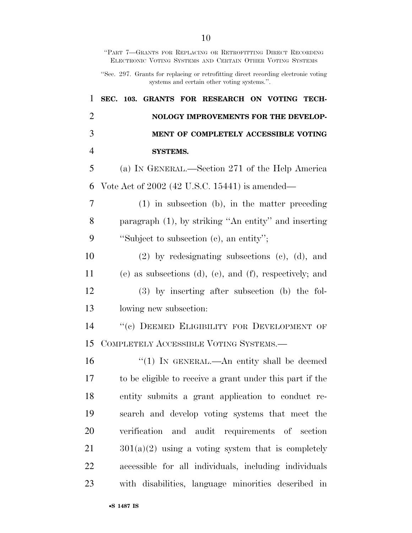|                | "PART 7-GRANTS FOR REPLACING OR RETROFITTING DIRECT RECORDING<br>ELECTRONIC VOTING SYSTEMS AND CERTAIN OTHER VOTING SYSTEMS       |
|----------------|-----------------------------------------------------------------------------------------------------------------------------------|
|                | "Sec. 297. Grants for replacing or retrofitting direct recording electronic voting<br>systems and certain other voting systems.". |
| 1              | SEC. 103. GRANTS FOR RESEARCH ON VOTING TECH-                                                                                     |
| $\overline{2}$ | NOLOGY IMPROVEMENTS FOR THE DEVELOP-                                                                                              |
| 3              | MENT OF COMPLETELY ACCESSIBLE VOTING                                                                                              |
| $\overline{4}$ | <b>SYSTEMS.</b>                                                                                                                   |
| 5              | (a) IN GENERAL.—Section 271 of the Help America                                                                                   |
| 6              | Vote Act of 2002 (42 U.S.C. 15441) is amended—                                                                                    |
| 7              | $(1)$ in subsection $(b)$ , in the matter preceding                                                                               |
| 8              | paragraph (1), by striking "An entity" and inserting                                                                              |
| 9              | "Subject to subsection (c), an entity";                                                                                           |
| 10             | $(2)$ by redesignating subsections $(e)$ , $(d)$ , and                                                                            |
| 11             | $(e)$ as subsections $(d)$ , $(e)$ , and $(f)$ , respectively; and                                                                |
| 12             | $(3)$ by inserting after subsection (b) the fol-                                                                                  |
| 13             | lowing new subsection:                                                                                                            |
| 14             | "(c) DEEMED ELIGIBILITY FOR DEVELOPMENT OF                                                                                        |
| 15             | COMPLETELY ACCESSIBLE VOTING SYSTEMS.—                                                                                            |
| 16             | " $(1)$ In GENERAL.—An entity shall be deemed                                                                                     |
| 17             | to be eligible to receive a grant under this part if the                                                                          |
| 18             | entity submits a grant application to conduct re-                                                                                 |
| 19             | search and develop voting systems that meet the                                                                                   |
| 20             | verification and audit requirements of section                                                                                    |
| 21             | $301(a)(2)$ using a voting system that is completely                                                                              |
| 22             | accessible for all individuals, including individuals                                                                             |
| 23             | with disabilities, language minorities described in                                                                               |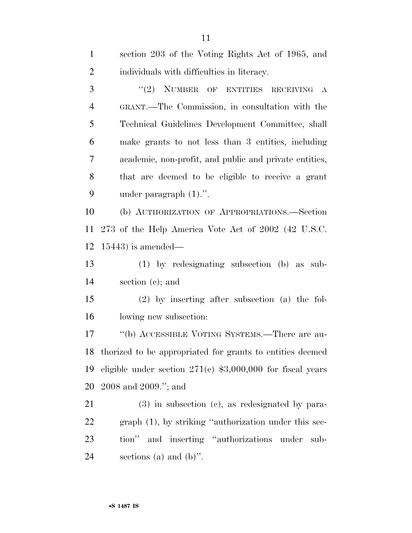| $\mathbf{1}$   | section 203 of the Voting Rights Act of 1965, and            |
|----------------|--------------------------------------------------------------|
| $\overline{2}$ | individuals with difficulties in literacy.                   |
| 3              | "(2) NUMBER OF ENTITIES RECEIVING<br>$\bf{A}$                |
| $\overline{4}$ | GRANT.—The Commission, in consultation with the              |
| 5              | Technical Guidelines Development Committee, shall            |
| 6              | make grants to not less than 3 entities, including           |
| $\overline{7}$ | academic, non-profit, and public and private entities,       |
| 8              | that are deemed to be eligible to receive a grant            |
| 9              | under paragraph $(1)$ .".                                    |
| 10             | (b) AUTHORIZATION OF APPROPRIATIONS.—Section                 |
| 11             | 273 of the Help America Vote Act of 2002 (42 U.S.C.          |
| 12             | $15443$ ) is amended—                                        |
| 13             | $(1)$ by redesignating subsection $(b)$ as sub-              |
| 14             | section $(c)$ ; and                                          |
| 15             | $(2)$ by inserting after subsection (a) the fol-             |
| 16             | lowing new subsection:                                       |
| 17             | "(b) ACCESSIBLE VOTING SYSTEMS.—There are au-                |
|                | 18 thorized to be appropriated for grants to entities deemed |
| 19             | eligible under section $271(c)$ \$3,000,000 for fiscal years |
| 20             | $2008$ and $2009$ ."; and                                    |
| 21             | $(3)$ in subsection $(c)$ , as redesignated by para-         |
| 22             | graph (1), by striking "authorization under this sec-        |
| 23             | tion" and inserting "authorizations under<br>sub-            |
| 24             | sections (a) and $(b)$ ".                                    |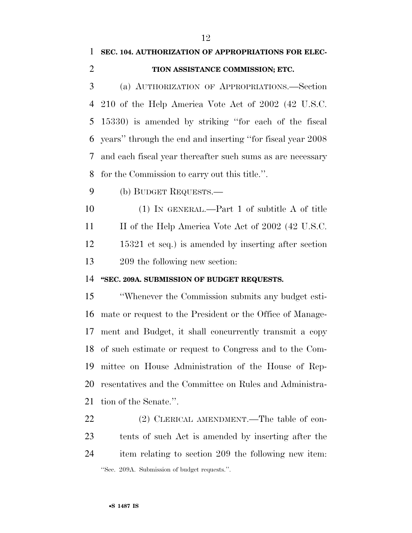### **SEC. 104. AUTHORIZATION OF APPROPRIATIONS FOR ELEC-**

#### **TION ASSISTANCE COMMISSION; ETC.**

 (a) AUTHORIZATION OF APPROPRIATIONS.—Section 210 of the Help America Vote Act of 2002 (42 U.S.C. 15330) is amended by striking ''for each of the fiscal years'' through the end and inserting ''for fiscal year 2008 and each fiscal year thereafter such sums as are necessary for the Commission to carry out this title.''.

(b) BUDGET REQUESTS.—

 (1) IN GENERAL.—Part 1 of subtitle A of title 11 II of the Help America Vote Act of 2002 (42 U.S.C. 15321 et seq.) is amended by inserting after section 209 the following new section:

#### **''SEC. 209A. SUBMISSION OF BUDGET REQUESTS.**

 ''Whenever the Commission submits any budget esti- mate or request to the President or the Office of Manage- ment and Budget, it shall concurrently transmit a copy of such estimate or request to Congress and to the Com- mittee on House Administration of the House of Rep- resentatives and the Committee on Rules and Administra-tion of the Senate.''.

22 (2) CLERICAL AMENDMENT.—The table of con- tents of such Act is amended by inserting after the item relating to section 209 the following new item: ''Sec. 209A. Submission of budget requests.''.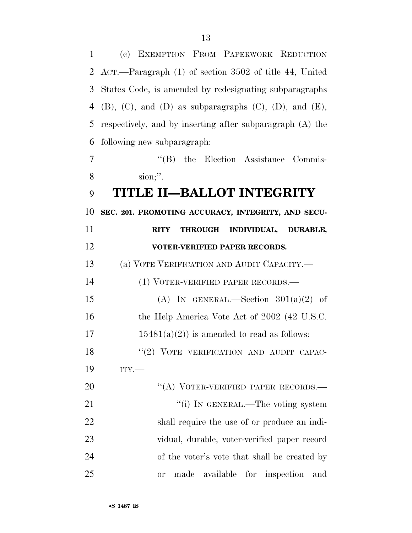(c) EXEMPTION FROM PAPERWORK REDUCTION ACT.—Paragraph (1) of section 3502 of title 44, United States Code, is amended by redesignating subparagraphs

4 (B), (C), and (D) as subparagraphs (C), (D), and (E), respectively, and by inserting after subparagraph (A) the following new subparagraph:

7 "'(B) the Election Assistance Commis-sion;''.

### **TITLE II—BALLOT INTEGRITY**

**SEC. 201. PROMOTING ACCURACY, INTEGRITY, AND SECU-**

# **RITY THROUGH INDIVIDUAL, DURABLE, VOTER-VERIFIED PAPER RECORDS.**

(a) VOTE VERIFICATION AND AUDIT CAPACITY.—

 (1) VOTER-VERIFIED PAPER RECORDS.— 15 (A) IN GENERAL.—Section  $301(a)(2)$  of 16 the Help America Vote Act of 2002 (42 U.S.C. 17 15481(a)(2)) is amended to read as follows:

18 "(2) VOTE VERIFICATION AND AUDIT CAPAC-

ITY.—

20 "(A) VOTER-VERIFIED PAPER RECORDS.— 21 ""(i) IN GENERAL.—The voting system shall require the use of or produce an indi- vidual, durable, voter-verified paper record of the voter's vote that shall be created by or made available for inspection and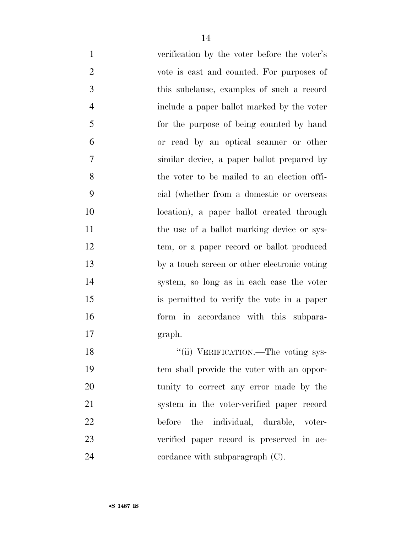verification by the voter before the voter's vote is cast and counted. For purposes of this subclause, examples of such a record include a paper ballot marked by the voter for the purpose of being counted by hand or read by an optical scanner or other similar device, a paper ballot prepared by the voter to be mailed to an election offi- cial (whether from a domestic or overseas location), a paper ballot created through 11 the use of a ballot marking device or sys- tem, or a paper record or ballot produced by a touch screen or other electronic voting system, so long as in each case the voter is permitted to verify the vote in a paper form in accordance with this subpara-graph.

18 ''(ii) VERIFICATION.—The voting sys- tem shall provide the voter with an oppor- tunity to correct any error made by the system in the voter-verified paper record before the individual, durable, voter- verified paper record is preserved in ac-24 cordance with subparagraph (C).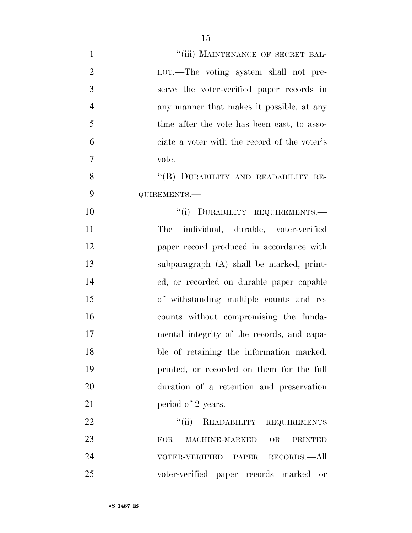| $\mathbf{1}$   | "(iii) MAINTENANCE OF SECRET BAL-                    |
|----------------|------------------------------------------------------|
| $\overline{2}$ | LOT.—The voting system shall not pre-                |
| 3              | serve the voter-verified paper records in            |
| $\overline{4}$ | any manner that makes it possible, at any            |
| 5              | time after the vote has been cast, to asso-          |
| 6              | ciate a voter with the record of the voter's         |
| $\overline{7}$ | vote.                                                |
| 8              | "(B) DURABILITY AND READABILITY RE-                  |
| 9              | QUIREMENTS.-                                         |
| 10             | "(i) DURABILITY REQUIREMENTS.-                       |
| 11             | The individual, durable, voter-verified              |
| 12             | paper record produced in accordance with             |
| 13             | subparagraph (A) shall be marked, print-             |
| 14             | ed, or recorded on durable paper capable             |
| 15             | of withstanding multiple counts and re-              |
| 16             | counts without compromising the funda-               |
| 17             | mental integrity of the records, and capa-           |
| 18             | ble of retaining the information marked,             |
| 19             | printed, or recorded on them for the full            |
| 20             | duration of a retention and preservation             |
| 21             | period of 2 years.                                   |
| 22             | "(ii) READABILITY REQUIREMENTS                       |
| 23             | OR<br><b>FOR</b><br>MACHINE-MARKED<br><b>PRINTED</b> |
| 24             | VOTER-VERIFIED PAPER RECORDS.—All                    |
| 25             | voter-verified paper records marked<br>or            |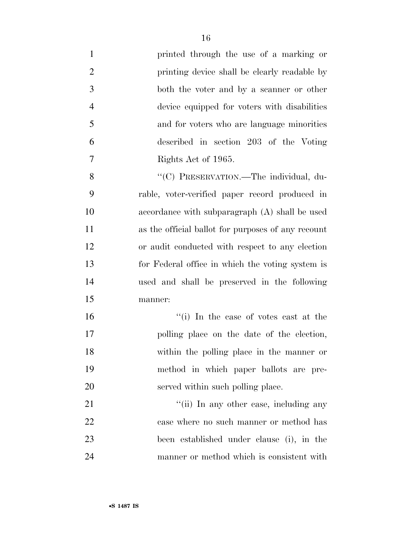| $\mathbf{1}$   | printed through the use of a marking or            |
|----------------|----------------------------------------------------|
| $\overline{2}$ | printing device shall be clearly readable by       |
| 3              | both the voter and by a scanner or other           |
| $\overline{4}$ | device equipped for voters with disabilities       |
| 5              | and for voters who are language minorities         |
| 6              | described in section 203 of the Voting             |
| $\overline{7}$ | Rights Act of 1965.                                |
| 8              | "(C) PRESERVATION.—The individual, du-             |
| 9              | rable, voter-verified paper record produced in     |
| 10             | accordance with subparagraph (A) shall be used     |
| 11             | as the official ballot for purposes of any recount |
| 12             | or audit conducted with respect to any election    |
| 13             | for Federal office in which the voting system is   |
| 14             | used and shall be preserved in the following       |
| 15             | manner:                                            |
| 16             | "(i) In the case of votes cast at the              |
| 17             | polling place on the date of the election,         |
| 18             | within the polling place in the manner or          |
| 19             | method in which paper ballots are pre-             |
| 20             | served within such polling place.                  |
| 21             | "(ii) In any other case, including any             |
| 22             | case where no such manner or method has            |
| 23             | been established under clause (i), in the          |
| 24             | manner or method which is consistent with          |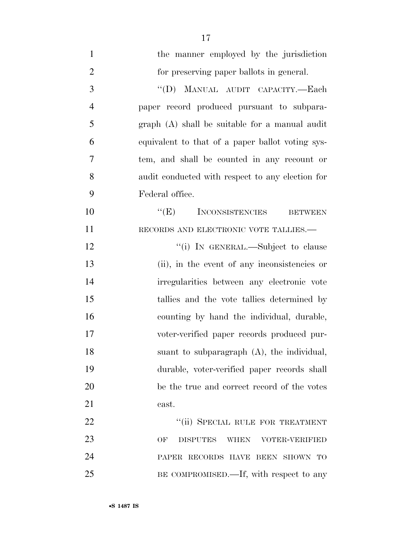| $\mathbf{1}$   | the manner employed by the jurisdiction                       |
|----------------|---------------------------------------------------------------|
| $\overline{2}$ | for preserving paper ballots in general.                      |
| 3              | $\lq\lq (D)$<br>MANUAL AUDIT CAPACITY.-Each                   |
| $\overline{4}$ | paper record produced pursuant to subpara-                    |
| 5              | graph (A) shall be suitable for a manual audit                |
| 6              | equivalent to that of a paper ballot voting sys-              |
| 7              | tem, and shall be counted in any recount or                   |
| 8              | audit conducted with respect to any election for              |
| 9              | Federal office.                                               |
| 10             | $\lq\lq(E)$ INCONSISTENCIES<br><b>BETWEEN</b>                 |
| 11             | RECORDS AND ELECTRONIC VOTE TALLIES.-                         |
| 12             | "(i) IN GENERAL.—Subject to clause                            |
| 13             | (ii), in the event of any inconsistencies or                  |
| 14             | irregularities between any electronic vote                    |
| 15             | tallies and the vote tallies determined by                    |
| 16             | counting by hand the individual, durable,                     |
| 17             | voter-verified paper records produced pur-                    |
| 18             | suant to subparagraph (A), the individual,                    |
| 19             | durable, voter-verified paper records shall                   |
| 20             | be the true and correct record of the votes                   |
| 21             | cast.                                                         |
| 22             | "(ii) SPECIAL RULE FOR TREATMENT                              |
| 23             | OF<br><b>DISPUTES</b><br><b>WHEN</b><br><b>VOTER-VERIFIED</b> |
| 24             | PAPER RECORDS HAVE BEEN SHOWN TO                              |
| 25             | BE COMPROMISED.—If, with respect to any                       |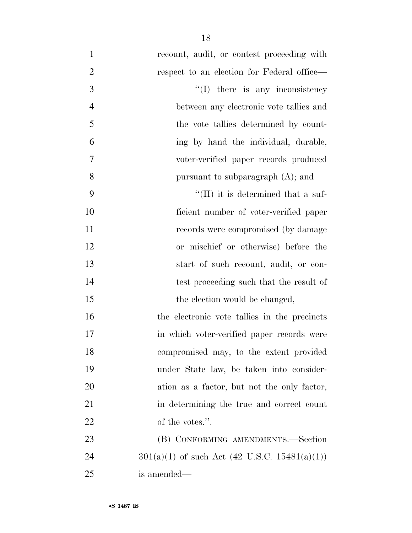| $\mathbf{1}$   | recount, audit, or contest proceeding with      |
|----------------|-------------------------------------------------|
| $\overline{2}$ | respect to an election for Federal office—      |
| 3              | $\lq\lq$ (I) there is any inconsistency         |
| $\overline{4}$ | between any electronic vote tallies and         |
| 5              | the vote tallies determined by count-           |
| 6              | ing by hand the individual, durable,            |
| 7              | voter-verified paper records produced           |
| 8              | pursuant to subparagraph (A); and               |
| 9              | $\lq\lq$ (II) it is determined that a suf-      |
| 10             | ficient number of voter-verified paper          |
| 11             | records were compromised (by damage             |
| 12             | or mischief or otherwise) before the            |
| 13             | start of such recount, audit, or con-           |
| 14             | test proceeding such that the result of         |
| 15             | the election would be changed,                  |
| 16             | the electronic vote tallies in the precincts    |
| 17             | in which voter-verified paper records were      |
| 18             | compromised may, to the extent provided         |
| 19             | under State law, be taken into consider-        |
| 20             | ation as a factor, but not the only factor,     |
| 21             | in determining the true and correct count       |
| 22             | of the votes.".                                 |
| 23             | (B) CONFORMING AMENDMENTS.—Section              |
| 24             | $301(a)(1)$ of such Act (42 U.S.C. 15481(a)(1)) |
| 25             | is amended—                                     |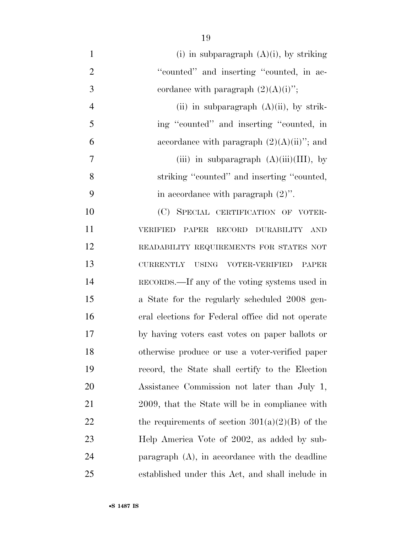| $\mathbf{1}$   | (i) in subparagraph $(A)(i)$ , by striking               |
|----------------|----------------------------------------------------------|
| $\overline{2}$ | "counted" and inserting "counted, in ac-                 |
| 3              | cordance with paragraph $(2)(A)(i)$ ";                   |
| $\overline{4}$ | (ii) in subparagraph $(A)(ii)$ , by strik-               |
| 5              | ing "counted" and inserting "counted, in                 |
| 6              | accordance with paragraph $(2)(A)(ii)$ "; and            |
| 7              | (iii) in subparagraph $(A)(iii)(III)$ , by               |
| 8              | striking "counted" and inserting "counted,               |
| 9              | in accordance with paragraph $(2)$ ".                    |
| 10             | (C) SPECIAL CERTIFICATION OF VOTER-                      |
| 11             | PAPER RECORD DURABILITY<br><b>VERIFIED</b><br>AND        |
| 12             | READABILITY REQUIREMENTS FOR STATES NOT                  |
| 13             | <b>CURRENTLY</b><br>USING VOTER-VERIFIED<br><b>PAPER</b> |
| 14             | RECORDS.—If any of the voting systems used in            |
| 15             | a State for the regularly scheduled 2008 gen-            |
| 16             | eral elections for Federal office did not operate        |
| 17             | by having voters cast votes on paper ballots or          |
| 18             | otherwise produce or use a voter-verified paper          |
| 19             | record, the State shall certify to the Election          |
| <b>20</b>      | Assistance Commission not later than July 1,             |
| 21             | 2009, that the State will be in compliance with          |
| <u>22</u>      | the requirements of section $301(a)(2)(B)$ of the        |
| 23             | Help America Vote of 2002, as added by sub-              |
| 24             | paragraph $(A)$ , in accordance with the deadline        |
| 25             | established under this Act, and shall include in         |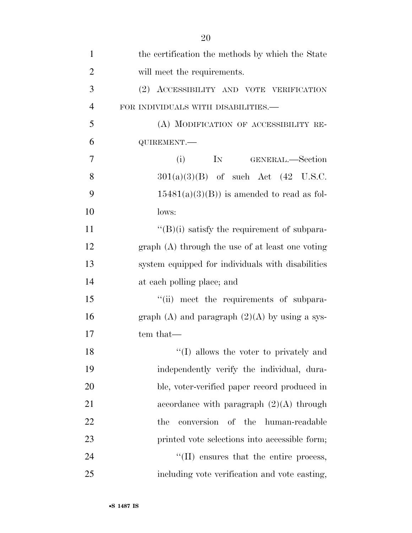| $\mathbf{1}$   | the certification the methods by which the State   |
|----------------|----------------------------------------------------|
| $\overline{2}$ | will meet the requirements.                        |
| 3              | (2) ACCESSIBILITY AND VOTE VERIFICATION            |
| $\overline{4}$ | FOR INDIVIDUALS WITH DISABILITIES.—                |
| 5              | (A) MODIFICATION OF ACCESSIBILITY RE-              |
| 6              | QUIREMENT.-                                        |
| 7              | (i)<br>IN GENERAL.-Section                         |
| 8              | $301(a)(3)(B)$ of such Act $(42 \text{ U.S.C.})$   |
| 9              | $15481(a)(3)(B)$ is amended to read as fol-        |
| 10             | lows:                                              |
| 11             | $\lq\lq(B)(i)$ satisfy the requirement of subpara- |
| 12             | $graph(A)$ through the use of at least one voting  |
| 13             | system equipped for individuals with disabilities  |
| 14             | at each polling place; and                         |
| 15             | "(ii) meet the requirements of subpara-            |
| 16             | graph $(A)$ and paragraph $(2)(A)$ by using a sys- |
| 17             | tem that—                                          |
| 18             | "(I) allows the voter to privately and             |
| 19             | independently verify the individual, dura-         |
| 20             | ble, voter-verified paper record produced in       |
| 21             | accordance with paragraph $(2)(A)$ through         |
| 22             | human-readable<br>conversion of the<br>the         |
| 23             | printed vote selections into accessible form;      |
| 24             | $\lq$ (II) ensures that the entire process,        |
| 25             | including vote verification and vote casting,      |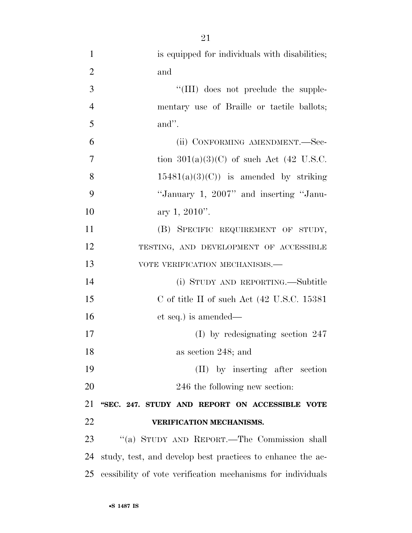| $\mathbf{1}$   | is equipped for individuals with disabilities;             |
|----------------|------------------------------------------------------------|
| $\overline{2}$ | and                                                        |
| 3              | "(III) does not preclude the supple-                       |
| $\overline{4}$ | mentary use of Braille or tactile ballots;                 |
| 5              | and".                                                      |
| 6              | (ii) CONFORMING AMENDMENT.—Sec-                            |
| 7              | tion $301(a)(3)(C)$ of such Act (42 U.S.C.                 |
| 8              | $15481(a)(3)(C)$ is amended by striking                    |
| 9              | "January 1, 2007" and inserting "Janu-                     |
| 10             | ary 1, $2010$ ".                                           |
| 11             | (B) SPECIFIC REQUIREMENT OF STUDY,                         |
| 12             | TESTING, AND DEVELOPMENT OF ACCESSIBLE                     |
| 13             | VOTE VERIFICATION MECHANISMS.-                             |
| 14             | (i) STUDY AND REPORTING.—Subtitle                          |
| 15             | C of title II of such Act $(42 \text{ U.S.C. } 15381)$     |
| 16             | et seq.) is amended—                                       |
| 17             | (I) by redesignating section $247$                         |
| 18             | as section 248; and                                        |
| 19             | (II) by inserting after section                            |
| 20             | 246 the following new section:                             |
| 21             | "SEC. 247. STUDY AND REPORT ON ACCESSIBLE VOTE             |
| 22             | VERIFICATION MECHANISMS.                                   |
| 23             | "(a) STUDY AND REPORT.—The Commission shall                |
| 24             | study, test, and develop best practices to enhance the ac- |
| 25             | essibility of vote verification mechanisms for individuals |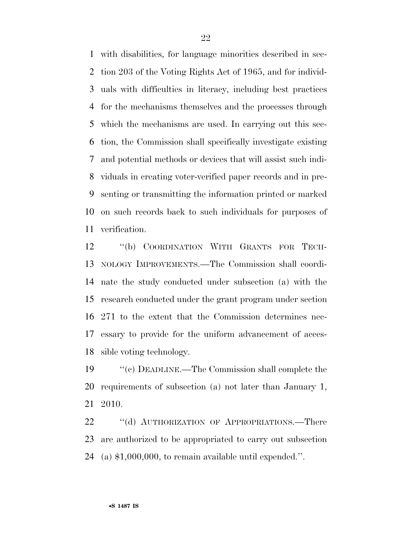with disabilities, for language minorities described in sec- tion 203 of the Voting Rights Act of 1965, and for individ- uals with difficulties in literacy, including best practices for the mechanisms themselves and the processes through which the mechanisms are used. In carrying out this sec- tion, the Commission shall specifically investigate existing and potential methods or devices that will assist such indi- viduals in creating voter-verified paper records and in pre- senting or transmitting the information printed or marked on such records back to such individuals for purposes of verification.

 ''(b) COORDINATION WITH GRANTS FOR TECH- NOLOGY IMPROVEMENTS.—The Commission shall coordi- nate the study conducted under subsection (a) with the research conducted under the grant program under section 271 to the extent that the Commission determines nec- essary to provide for the uniform advancement of acces-sible voting technology.

 ''(c) DEADLINE.—The Commission shall complete the requirements of subsection (a) not later than January 1, 2010.

22 "(d) AUTHORIZATION OF APPROPRIATIONS.—There are authorized to be appropriated to carry out subsection (a) \$1,000,000, to remain available until expended.''.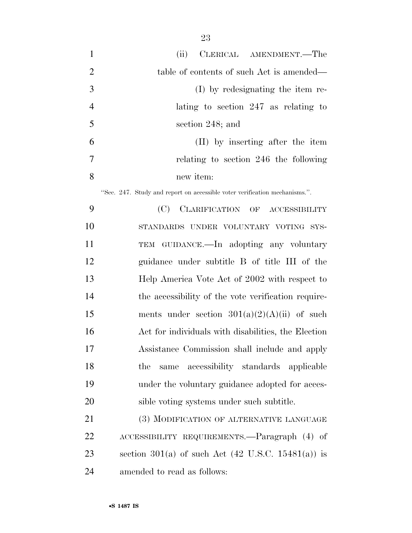| $\mathbf{1}$   | (ii)<br>CLERICAL AMENDMENT.—The                                            |
|----------------|----------------------------------------------------------------------------|
| $\overline{2}$ | table of contents of such Act is amended—                                  |
| 3              | (I) by redesignating the item re-                                          |
| $\overline{4}$ | lating to section 247 as relating to                                       |
| 5              | section 248; and                                                           |
| 6              | (II) by inserting after the item                                           |
| 7              | relating to section 246 the following                                      |
| 8              | new item:                                                                  |
|                | "Sec. 247. Study and report on accessible voter verification mechanisms.". |
| 9              | (C)<br>CLARIFICATION OF ACCESSIBILITY                                      |
| 10             | STANDARDS UNDER VOLUNTARY VOTING SYS-                                      |
| 11             | TEM GUIDANCE.—In adopting any voluntary                                    |
| 12             | guidance under subtitle B of title III of the                              |
| 13             | Help America Vote Act of 2002 with respect to                              |
| 14             | the accessibility of the vote verification require-                        |
| 15             | ments under section $301(a)(2)(A)(ii)$ of such                             |
| 16             | Act for individuals with disabilities, the Election                        |
| 17             | Assistance Commission shall include and apply                              |
| 18             | accessibility standards applicable<br>the<br>same                          |
| 19             | under the voluntary guidance adopted for acces-                            |
| 20             | sible voting systems under such subtitle.                                  |
| 21             | (3) MODIFICATION OF ALTERNATIVE LANGUAGE                                   |
| 22             | ACCESSIBILITY REQUIREMENTS.—Paragraph (4) of                               |
| 23             | section 301(a) of such Act $(42 \text{ U.S.C. } 15481(a))$ is              |
| 24             | amended to read as follows:                                                |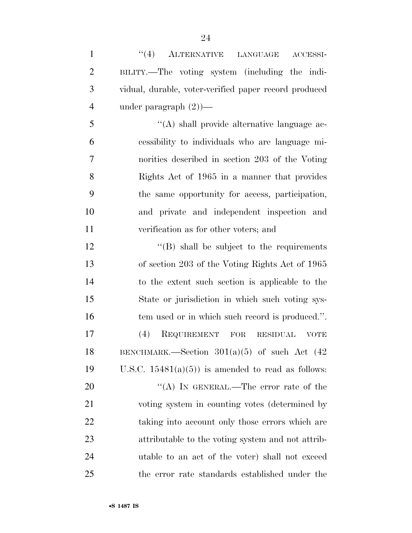| $\mathbf{1}$   | "(4) ALTERNATIVE LANGUAGE<br>ACCESSI-                       |
|----------------|-------------------------------------------------------------|
| $\overline{c}$ | BILITY.—The voting system (including the indi-              |
| 3              | vidual, durable, voter-verified paper record produced       |
| $\overline{4}$ | under paragraph $(2)$ )—                                    |
| 5              | $\lq\lq$ shall provide alternative language ac-             |
| 6              | essibility to individuals who are language mi-              |
| $\overline{7}$ | norities described in section 203 of the Voting             |
| 8              | Rights Act of 1965 in a manner that provides                |
| 9              | the same opportunity for access, participation,             |
| 10             | and private and independent inspection and                  |
| 11             | verification as for other voters; and                       |
| 12             | $\lq\lq$ Shall be subject to the requirements               |
| 13             | of section 203 of the Voting Rights Act of 1965             |
| 14             | to the extent such section is applicable to the             |
| 15             | State or jurisdiction in which such voting sys-             |
| 16             | tem used or in which such record is produced.".             |
| 17             | (4)<br>REQUIREMENT<br>FOR<br><b>RESIDUAL</b><br><b>VOTE</b> |
| 18             | BENCHMARK.—Section $301(a)(5)$ of such Act $(42)$           |
| 19             | U.S.C. $15481(a)(5)$ is amended to read as follows:         |
| 20             | "(A) IN GENERAL.—The error rate of the                      |
| 21             | voting system in counting votes (determined by              |
| 22             | taking into account only those errors which are             |
| 23             | attributable to the voting system and not attrib-           |
| 24             | utable to an act of the voter) shall not exceed             |
| 25             | the error rate standards established under the              |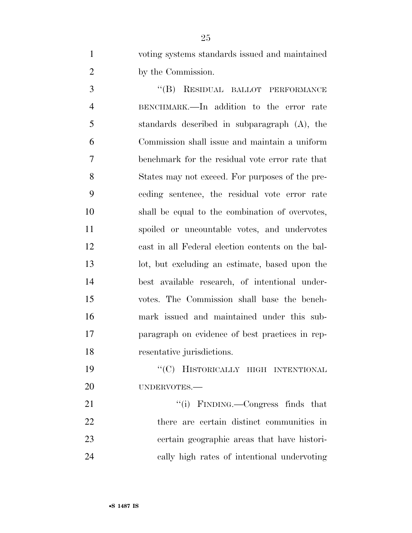voting systems standards issued and maintained by the Commission.

3 "(B) RESIDUAL BALLOT PERFORMANCE BENCHMARK.—In addition to the error rate standards described in subparagraph (A), the Commission shall issue and maintain a uniform benchmark for the residual vote error rate that States may not exceed. For purposes of the pre- ceding sentence, the residual vote error rate shall be equal to the combination of overvotes, spoiled or uncountable votes, and undervotes cast in all Federal election contents on the bal- lot, but excluding an estimate, based upon the best available research, of intentional under- votes. The Commission shall base the bench- mark issued and maintained under this sub- paragraph on evidence of best practices in rep-resentative jurisdictions.

19 "'(C) HISTORICALLY HIGH INTENTIONAL UNDERVOTES.—

21 ''(i) FINDING.—Congress finds that there are certain distinct communities in certain geographic areas that have histori-cally high rates of intentional undervoting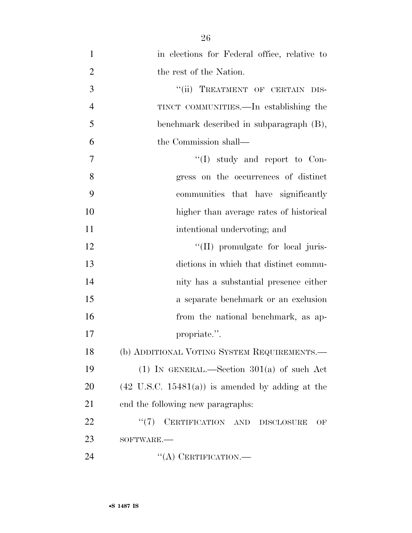| $\mathbf{1}$   | in elections for Federal office, relative to                |
|----------------|-------------------------------------------------------------|
| $\overline{2}$ | the rest of the Nation.                                     |
| 3              | "(ii) TREATMENT OF CERTAIN DIS-                             |
| $\overline{4}$ | TINCT COMMUNITIES.—In establishing the                      |
| 5              | benchmark described in subparagraph (B),                    |
| 6              | the Commission shall—                                       |
| $\overline{7}$ | $\lq\lq$ study and report to Con-                           |
| 8              | gress on the occurrences of distinct                        |
| 9              | communities that have significantly                         |
| 10             | higher than average rates of historical                     |
| 11             | intentional undervoting; and                                |
| 12             | "(II) promulgate for local juris-                           |
| 13             | dictions in which that distinct commu-                      |
| 14             | nity has a substantial presence either                      |
| 15             | a separate benchmark or an exclusion                        |
| 16             | from the national benchmark, as ap-                         |
| 17             | propriate.".                                                |
| 18             | (b) ADDITIONAL VOTING SYSTEM REQUIREMENTS.—                 |
| 19             | (1) IN GENERAL.—Section $301(a)$ of such Act                |
| 20             | $(42 \text{ U.S.C. } 15481(a))$ is amended by adding at the |
| 21             | end the following new paragraphs:                           |
| 22             | "(7) CERTIFICATION AND DISCLOSURE<br>OF                     |
| 23             | SOFTWARE.-                                                  |
| 24             | $\lq\lq$ CERTIFICATION.—                                    |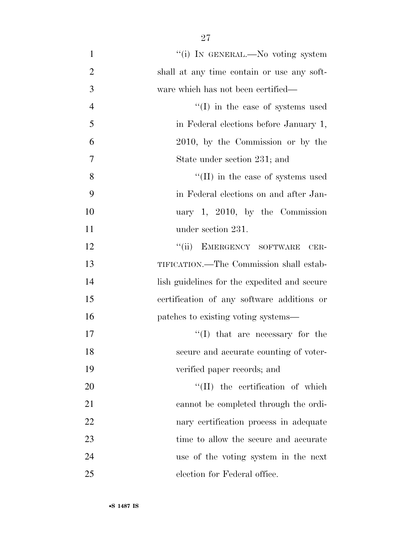| $\mathbf{1}$   | "(i) In GENERAL.—No voting system            |
|----------------|----------------------------------------------|
| $\overline{2}$ | shall at any time contain or use any soft-   |
| 3              | ware which has not been certified—           |
| $\overline{4}$ | $\lq\lq$ (I) in the case of systems used     |
| 5              | in Federal elections before January 1,       |
| 6              | 2010, by the Commission or by the            |
| 7              | State under section 231; and                 |
| 8              | $\lq$ (II) in the case of systems used       |
| 9              | in Federal elections on and after Jan-       |
| 10             | uary 1, 2010, by the Commission              |
| 11             | under section 231.                           |
| 12             | "(ii) EMERGENCY SOFTWARE<br>$CER-$           |
| 13             | TIFICATION.—The Commission shall estab-      |
| 14             | lish guidelines for the expedited and secure |
| 15             | certification of any software additions or   |
| 16             | patches to existing voting systems—          |
| 17             | $\lq\lq$ (I) that are necessary for the      |
| 18             | secure and accurate counting of voter-       |
| 19             | verified paper records; and                  |
| 20             | "(II) the certification of which             |
| 21             | cannot be completed through the ordi-        |
| 22             | nary certification process in adequate       |
| 23             | time to allow the secure and accurate        |
| 24             | use of the voting system in the next         |
| 25             | election for Federal office.                 |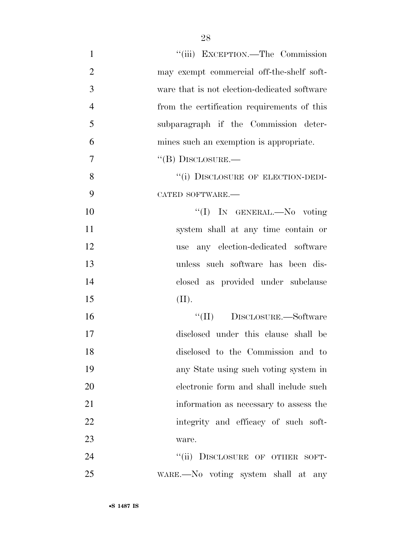| $\mathbf{1}$   | "(iii) EXCEPTION.—The Commission             |
|----------------|----------------------------------------------|
| $\overline{2}$ | may exempt commercial off-the-shelf soft-    |
| 3              | ware that is not election-dedicated software |
| $\overline{4}$ | from the certification requirements of this  |
| 5              | subparagraph if the Commission deter-        |
| 6              | mines such an exemption is appropriate.      |
| $\overline{7}$ | $\lq\lq (B)$ DISCLOSURE.—                    |
| 8              | "(i) DISCLOSURE OF ELECTION-DEDI-            |
| 9              | CATED SOFTWARE.-                             |
| 10             | "(I) IN GENERAL.—No voting                   |
| 11             | system shall at any time contain or          |
| 12             | use any election-dedicated software          |
| 13             | unless such software has been dis-           |
| 14             | closed as provided under subclause           |
| 15             | (II).                                        |
| 16             | "(II) DISCLOSURE.—Software                   |
| 17             | disclosed under this clause shall be         |
| 18             | disclosed to the Commission and to           |
| 19             | any State using such voting system in        |
| 20             | electronic form and shall include such       |
| 21             | information as necessary to assess the       |
| 22             | integrity and efficacy of such soft-         |
| 23             | ware.                                        |
| 24             | "(ii) DISCLOSURE OF OTHER SOFT-              |
| 25             | WARE.—No voting system shall at any          |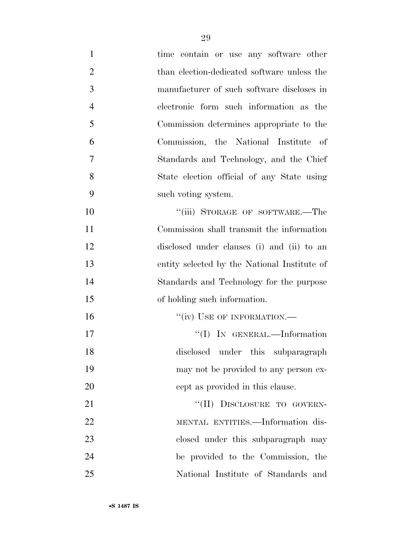| $\mathbf{1}$   | time contain or use any software other       |
|----------------|----------------------------------------------|
| $\overline{2}$ | than election-dedicated software unless the  |
| 3              | manufacturer of such software discloses in   |
| $\overline{4}$ | electronic form such information as the      |
| 5              | Commission determines appropriate to the     |
| 6              | Commission, the National Institute of        |
| 7              | Standards and Technology, and the Chief      |
| 8              | State election official of any State using   |
| 9              | such voting system.                          |
| 10             | "(iii) STORAGE OF SOFTWARE.—The              |
| 11             | Commission shall transmit the information    |
| 12             | disclosed under clauses (i) and (ii) to an   |
| 13             | entity selected by the National Institute of |
| 14             | Standards and Technology for the purpose     |
| 15             | of holding such information.                 |
| 16             | "(iv) USE OF INFORMATION.-                   |
| 17             | "(I) IN GENERAL.—Information                 |
| 18             | disclosed under this subparagraph            |
| 19             | may not be provided to any person ex-        |
| 20             | cept as provided in this clause.             |
| 21             | "(II) DISCLOSURE TO GOVERN-                  |
| 22             | MENTAL ENTITIES.-Information dis-            |
| 23             | closed under this subparagraph may           |
| 24             | be provided to the Commission, the           |
| 25             | National Institute of Standards and          |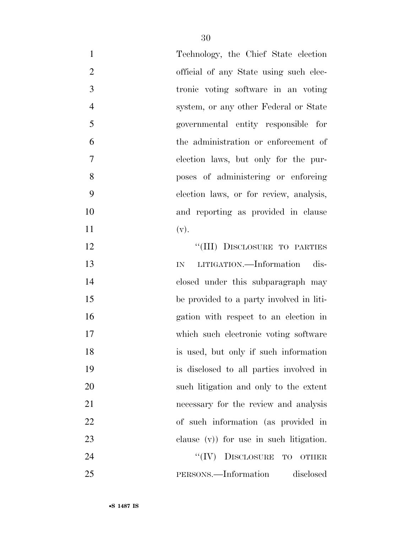| $\mathbf{1}$   | Technology, the Chief State election       |
|----------------|--------------------------------------------|
| $\overline{2}$ | official of any State using such elec-     |
| 3              | tronic voting software in an voting        |
| $\overline{4}$ | system, or any other Federal or State      |
| 5              | governmental entity responsible for        |
| 6              | the administration or enforcement of       |
| $\tau$         | election laws, but only for the pur-       |
| 8              | poses of administering or enforcing        |
| 9              | election laws, or for review, analysis,    |
| 10             | and reporting as provided in clause        |
| 11             | (v).                                       |
| 12             | "(III) DISCLOSURE TO PARTIES               |
| 13             | LITIGATION.—Information dis-<br>IN         |
| 14             | closed under this subparagraph may         |
| 15             | be provided to a party involved in liti-   |
| 16             | gation with respect to an election in      |
| 17             | which such electronic voting software      |
| 18             | is used, but only if such information      |
| 19             | is disclosed to all parties involved in    |
| 20             | such litigation and only to the extent     |
| 21             | necessary for the review and analysis      |
| 22             | of such information (as provided in        |
| 23             | clause $(v)$ ) for use in such litigation. |
| 24             | ``(IV)<br>DISCLOSURE TO<br><b>OTHER</b>    |
| 25             | PERSONS.—Information<br>disclosed          |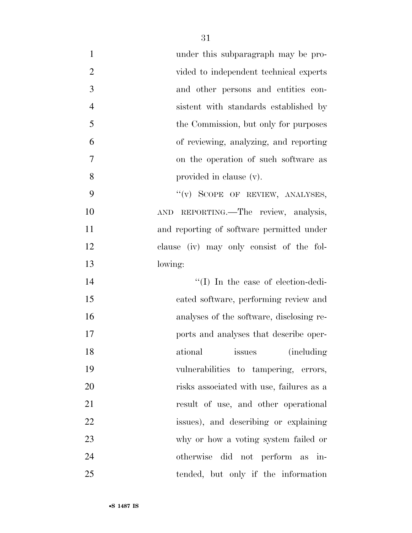| $\mathbf{1}$<br>under this subparagraph may be pro-      |  |
|----------------------------------------------------------|--|
| $\overline{2}$<br>vided to independent technical experts |  |
| 3<br>and other persons and entities con-                 |  |
| $\overline{4}$<br>sistent with standards established by  |  |
| 5<br>the Commission, but only for purposes               |  |
| 6<br>of reviewing, analyzing, and reporting              |  |
| $\overline{7}$<br>on the operation of such software as   |  |
| 8<br>provided in clause (v).                             |  |
| 9<br>"(v) SCOPE OF REVIEW, ANALYSES,                     |  |
| AND REPORTING. The review, analysis,<br>10               |  |
| 11<br>and reporting of software permitted under          |  |
| 12<br>clause (iv) may only consist of the fol-           |  |
| 13<br>lowing:                                            |  |
| "(I) In the case of election-dedi-<br>14                 |  |
| 15<br>cated software, performing review and              |  |
| 16<br>analyses of the software, disclosing re-           |  |
| 17<br>ports and analyses that describe oper-             |  |
| 18<br>issues (including)<br>ational                      |  |
| 19<br>vulnerabilities to tampering, errors,              |  |
| 20<br>risks associated with use, failures as a           |  |
| 21<br>result of use, and other operational               |  |
| 22<br>issues), and describing or explaining              |  |
| 23<br>why or how a voting system failed or               |  |
| 24<br>otherwise did not perform as in-                   |  |
| 25<br>tended, but only if the information                |  |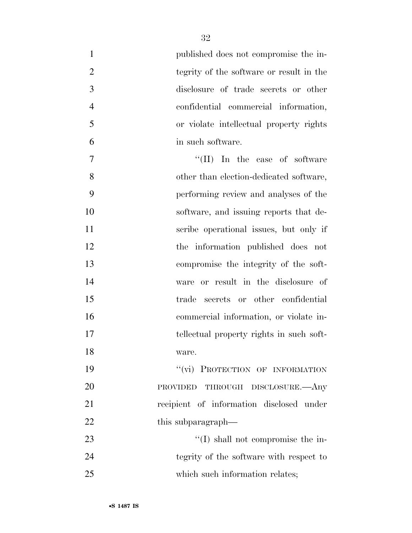| $\mathbf{1}$   | published does not compromise the in-      |
|----------------|--------------------------------------------|
| $\overline{2}$ | tegrity of the software or result in the   |
| 3              | disclosure of trade secrets or other       |
| $\overline{4}$ | confidential commercial information,       |
| 5              | or violate intellectual property rights    |
| 6              | in such software.                          |
| $\tau$         | $\lq\lq$ (II) In the case of software      |
| 8              | other than election-dedicated software,    |
| 9              | performing review and analyses of the      |
| 10             | software, and issuing reports that de-     |
| 11             | scribe operational issues, but only if     |
| 12             | the information published does not         |
| 13             | compromise the integrity of the soft-      |
| 14             | ware or result in the disclosure of        |
| 15             | trade secrets or other confidential        |
| 16             | commercial information, or violate in-     |
| 17             | tellectual property rights in such soft-   |
| 18             | ware.                                      |
| 19             | "(vi) PROTECTION OF INFORMATION            |
| 20             | THROUGH DISCLOSURE.—Any<br><b>PROVIDED</b> |
| 21             | recipient of information disclosed under   |
| 22             | this subparagraph—                         |
| 23             | $\lq\lq$ (I) shall not compromise the in-  |
| 24             | tegrity of the software with respect to    |
| 25             | which such information relates;            |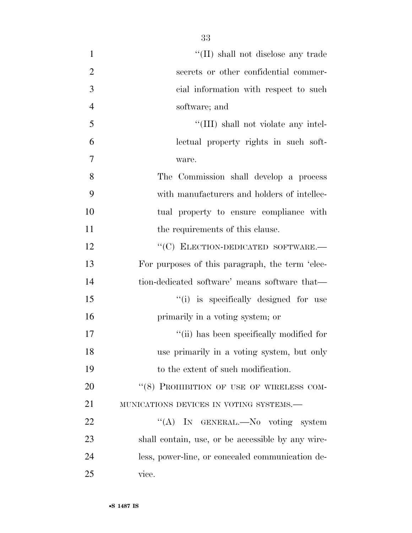| $\mathbf{1}$   | "(II) shall not disclose any trade                |
|----------------|---------------------------------------------------|
| $\overline{2}$ | secrets or other confidential commer-             |
| 3              | cial information with respect to such             |
| $\overline{4}$ | software; and                                     |
| 5              | "(III) shall not violate any intel-               |
| 6              | lectual property rights in such soft-             |
| 7              | ware.                                             |
| 8              | The Commission shall develop a process            |
| 9              | with manufacturers and holders of intellec-       |
| 10             | tual property to ensure compliance with           |
| 11             | the requirements of this clause.                  |
| 12             | "(C) ELECTION-DEDICATED SOFTWARE.-                |
| 13             | For purposes of this paragraph, the term 'elec-   |
| 14             | tion-dedicated software' means software that—     |
| 15             | "(i) is specifically designed for use             |
| 16             | primarily in a voting system; or                  |
| 17             | "(ii) has been specifically modified for          |
| 18             | use primarily in a voting system, but only        |
| 19             | to the extent of such modification.               |
| 20             | "(8) PROHIBITION OF USE OF WIRELESS COM-          |
| 21             | MUNICATIONS DEVICES IN VOTING SYSTEMS.-           |
| 22             | "(A) IN GENERAL.—No voting system                 |
| 23             | shall contain, use, or be accessible by any wire- |
| 24             | less, power-line, or concealed communication de-  |
| 25             | vice.                                             |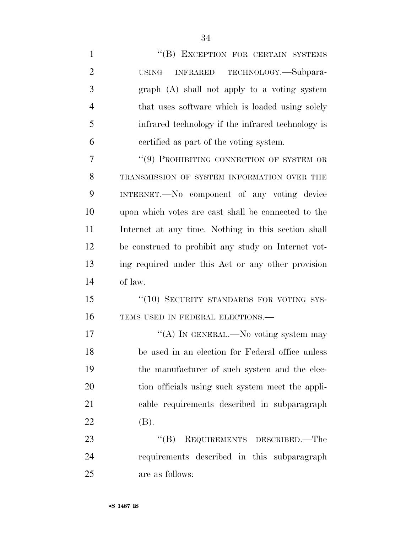| $\mathbf{1}$   | "(B) EXCEPTION FOR CERTAIN SYSTEMS                      |
|----------------|---------------------------------------------------------|
| $\overline{2}$ | TECHNOLOGY.—Subpara-<br><b>INFRARED</b><br><b>USING</b> |
| 3              | graph (A) shall not apply to a voting system            |
| $\overline{4}$ | that uses software which is loaded using solely         |
| 5              | infrared technology if the infrared technology is       |
| 6              | certified as part of the voting system.                 |
| 7              | "(9) PROHIBITING CONNECTION OF SYSTEM OR                |
| 8              | TRANSMISSION OF SYSTEM INFORMATION OVER THE             |
| 9              | INTERNET.—No component of any voting device             |
| 10             | upon which votes are cast shall be connected to the     |
| 11             | Internet at any time. Nothing in this section shall     |
| 12             | be construed to prohibit any study on Internet vot-     |
| 13             | ing required under this Act or any other provision      |
| 14             | of law.                                                 |
| 15             | "(10) SECURITY STANDARDS FOR VOTING SYS-                |
| 16             | TEMS USED IN FEDERAL ELECTIONS.-                        |
| 17             | "(A) IN GENERAL.—No voting system may                   |
| 18             | be used in an election for Federal office unless        |
| 19             | the manufacturer of such system and the elec-           |
| 20             | tion officials using such system meet the appli-        |
| 21             | cable requirements described in subparagraph            |
| 22             | (B).                                                    |
| 23             | "(B) REQUIREMENTS DESCRIBED.—The                        |
| 24             | requirements described in this subparagraph             |
| 25             | are as follows:                                         |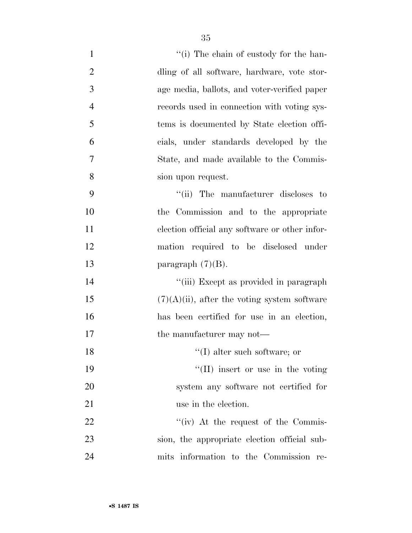| $\mathbf{1}$   | "(i) The chain of custody for the han-          |
|----------------|-------------------------------------------------|
| $\overline{2}$ | dling of all software, hardware, vote stor-     |
| 3              | age media, ballots, and voter-verified paper    |
| $\overline{4}$ | records used in connection with voting sys-     |
| 5              | tems is documented by State election offi-      |
| 6              | cials, under standards developed by the         |
| $\tau$         | State, and made available to the Commis-        |
| 8              | sion upon request.                              |
| 9              | "(ii) The manufacturer discloses to             |
| 10             | the Commission and to the appropriate           |
| 11             | election official any software or other infor-  |
| 12             | mation required to be disclosed under           |
| 13             | paragraph $(7)(B)$ .                            |
| 14             | "(iii) Except as provided in paragraph          |
| 15             | $(7)(A)(ii)$ , after the voting system software |
| 16             | has been certified for use in an election,      |
| 17             | the manufacturer may not—                       |
| 18             | $\lq\lq$ (I) alter such software; or            |
| 19             | $\lq\lq$ (II) insert or use in the voting       |
| 20             | system any software not certified for           |
| 21             | use in the election.                            |
| 22             | "(iv) At the request of the Commis-             |
| 23             | sion, the appropriate election official sub-    |
| 24             | mits information to the Commission re-          |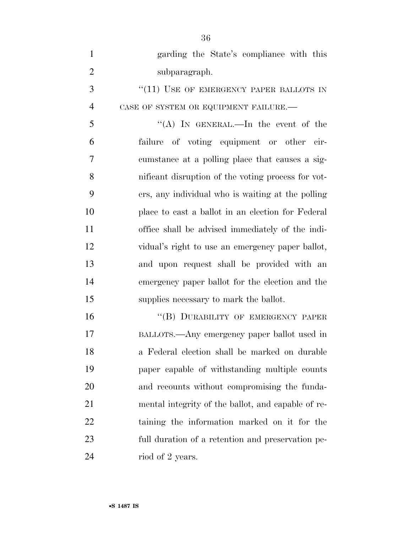| $\mathbf{1}$   | garding the State's compliance with this           |
|----------------|----------------------------------------------------|
| $\overline{2}$ | subparagraph.                                      |
| 3              | $``(11)$ USE OF EMERGENCY PAPER BALLOTS IN         |
| $\overline{4}$ | CASE OF SYSTEM OR EQUIPMENT FAILURE.-              |
| 5              | "(A) IN GENERAL.—In the event of the               |
| 6              | failure of voting equipment or other cir-          |
| 7              | cumstance at a polling place that causes a sig-    |
| 8              | nificant disruption of the voting process for vot- |
| 9              | ers, any individual who is waiting at the polling  |
| 10             | place to cast a ballot in an election for Federal  |
| 11             | office shall be advised immediately of the indi-   |
| 12             | vidual's right to use an emergency paper ballot,   |
| 13             | and upon request shall be provided with an         |
| 14             | emergency paper ballot for the election and the    |
| 15             | supplies necessary to mark the ballot.             |
| 16             | "(B) DURABILITY OF EMERGENCY PAPER                 |
| 17             | BALLOTS.—Any emergency paper ballot used in        |
| 18             | a Federal election shall be marked on durable      |
| 19             | paper capable of withstanding multiple counts      |
| 20             | and recounts without compromising the funda-       |
| 21             | mental integrity of the ballot, and capable of re- |
| 22             | taining the information marked on it for the       |
| 23             | full duration of a retention and preservation pe-  |
| 24             | riod of 2 years.                                   |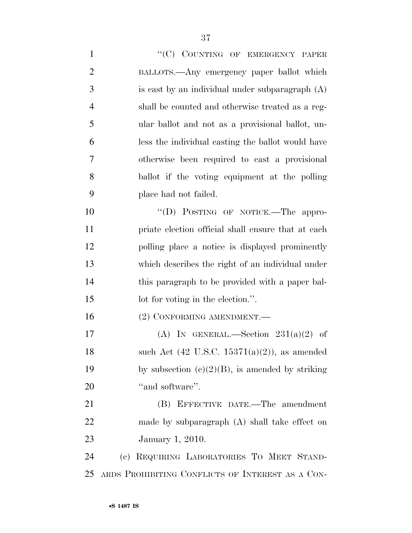1 "'(C) COUNTING OF EMERGENCY PAPER BALLOTS.—Any emergency paper ballot which is cast by an individual under subparagraph (A) shall be counted and otherwise treated as a reg- ular ballot and not as a provisional ballot, un- less the individual casting the ballot would have otherwise been required to cast a provisional ballot if the voting equipment at the polling place had not failed. 10 "(D) POSTING OF NOTICE.—The appro- priate election official shall ensure that at each polling place a notice is displayed prominently which describes the right of an individual under this paragraph to be provided with a paper bal-15 lot for voting in the election.". 16 (2) CONFORMING AMENDMENT. 17 (A) IN GENERAL.—Section  $231(a)(2)$  of 18 such Act  $(42 \text{ U.S.C. } 15371(a)(2))$ , as amended 19 by subsection  $(c)(2)(B)$ , is amended by striking 20 "and software". (B) EFFECTIVE DATE.—The amendment made by subparagraph (A) shall take effect on January 1, 2010. (c) REQUIRING LABORATORIES TO MEET STAND-ARDS PROHIBITING CONFLICTS OF INTEREST AS A CON-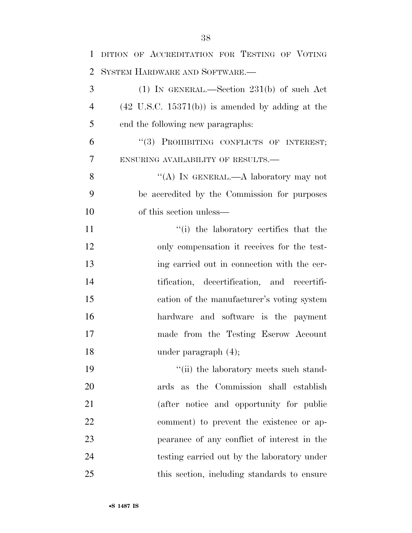| $\mathbf{1}$   | DITION OF ACCREDITATION FOR TESTING OF VOTING               |
|----------------|-------------------------------------------------------------|
| 2              | SYSTEM HARDWARE AND SOFTWARE.-                              |
| 3              | $(1)$ IN GENERAL.—Section 231(b) of such Act                |
| $\overline{4}$ | $(42 \text{ U.S.C. } 15371(b))$ is amended by adding at the |
| 5              | end the following new paragraphs:                           |
| 6              | "(3) PROHIBITING CONFLICTS OF INTEREST;                     |
| 7              | ENSURING AVAILABILITY OF RESULTS.-                          |
| 8              | "(A) IN GENERAL.—A laboratory may not                       |
| 9              | be accredited by the Commission for purposes                |
| 10             | of this section unless—                                     |
| 11             | "(i) the laboratory certifies that the                      |
| 12             | only compensation it receives for the test-                 |
| 13             | ing carried out in connection with the cer-                 |
| 14             | tification, decertification, and recertifi-                 |
| 15             | cation of the manufacturer's voting system                  |
| 16             | hardware and software is the payment                        |
| 17             | made from the Testing Escrow Account                        |
| 18             | under paragraph $(4)$ ;                                     |
| 19             | "(ii) the laboratory meets such stand-                      |
| 20             | ards as the Commission shall establish                      |
| 21             | (after notice and opportunity for public                    |
| 22             | comment) to prevent the existence or ap-                    |
| 23             | pearance of any conflict of interest in the                 |
| 24             | testing carried out by the laboratory under                 |
| 25             | this section, including standards to ensure                 |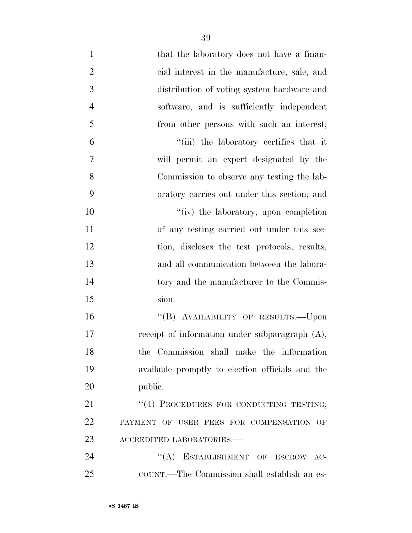| $\mathbf{1}$   | that the laboratory does not have a finan-        |
|----------------|---------------------------------------------------|
| $\overline{2}$ | cial interest in the manufacture, sale, and       |
| 3              | distribution of voting system hardware and        |
| $\overline{4}$ | software, and is sufficiently independent         |
| 5              | from other persons with such an interest;         |
| 6              | "(iii) the laboratory certifies that it           |
| $\tau$         | will permit an expert designated by the           |
| 8              | Commission to observe any testing the lab-        |
| 9              | oratory carries out under this section; and       |
| 10             | "(iv) the laboratory, upon completion             |
| 11             | of any testing carried out under this sec-        |
| 12             | tion, discloses the test protocols, results,      |
| 13             | and all communication between the labora-         |
| 14             | tory and the manufacturer to the Commis-          |
| 15             | sion.                                             |
| 16             | "(B) AVAILABILITY OF RESULTS.—Upon                |
| 17             | receipt of information under subparagraph $(A)$ , |
| 18             | the Commission shall make the information         |
| 19             | available promptly to election officials and the  |
| 20             | public.                                           |
| 21             | "(4) PROCEDURES FOR CONDUCTING TESTING;           |
| 22             | PAYMENT OF USER FEES FOR COMPENSATION OF          |
| 23             | ACCREDITED LABORATORIES.-                         |
| 24             | ``(A)<br>ESTABLISHMENT OF ESCROW AC-              |
| 25             | COUNT.—The Commission shall establish an es-      |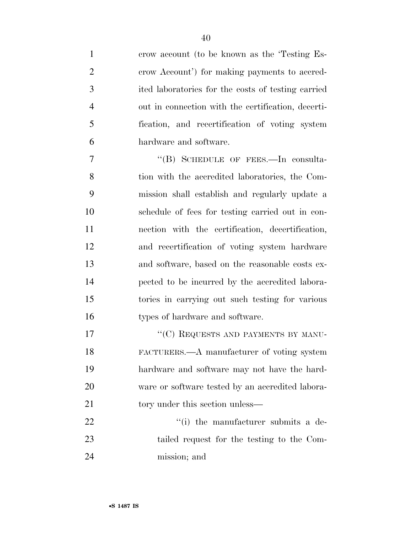crow account (to be known as the 'Testing Es- crow Account') for making payments to accred- ited laboratories for the costs of testing carried out in connection with the certification, decerti- fication, and recertification of voting system hardware and software.

7 "(B) SCHEDULE OF FEES.—In consulta- tion with the accredited laboratories, the Com- mission shall establish and regularly update a schedule of fees for testing carried out in con- nection with the certification, decertification, and recertification of voting system hardware and software, based on the reasonable costs ex- pected to be incurred by the accredited labora- tories in carrying out such testing for various 16 types of hardware and software.

17 ""(C) REQUESTS AND PAYMENTS BY MANU- FACTURERS.—A manufacturer of voting system hardware and software may not have the hard- ware or software tested by an accredited labora-21 tory under this section unless—

22  $\frac{1}{2}$   $\frac{1}{2}$  the manufacturer submits a de- tailed request for the testing to the Com-mission; and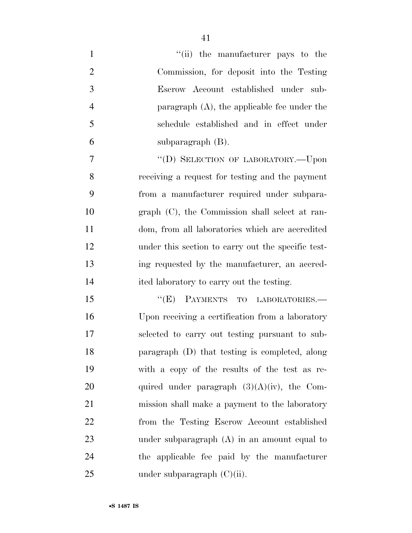| $\mathbf{1}$   | "(ii) the manufacturer pays to the                 |
|----------------|----------------------------------------------------|
| $\overline{2}$ | Commission, for deposit into the Testing           |
| 3              | Escrow Account established under sub-              |
| $\overline{4}$ | paragraph $(A)$ , the applicable fee under the     |
| 5              | schedule established and in effect under           |
| 6              | subparagraph $(B)$ .                               |
| 7              | "(D) SELECTION OF LABORATORY.-- Upon               |
| 8              | receiving a request for testing and the payment    |
| 9              | from a manufacturer required under subpara-        |
| 10             | graph (C), the Commission shall select at ran-     |
| 11             | dom, from all laboratories which are accredited    |
| 12             | under this section to carry out the specific test- |
| 13             | ing requested by the manufacturer, an accred-      |
| 14             | ited laboratory to carry out the testing.          |
| 15             | PAYMENTS TO LABORATORIES.-<br>``(E)                |
| 16             | Upon receiving a certification from a laboratory   |
| 17             | selected to carry out testing pursuant to sub-     |
| 18             | paragraph (D) that testing is completed, along     |
| 19             | with a copy of the results of the test as re-      |
| 20             | quired under paragraph $(3)(A)(iv)$ , the Com-     |
| 21             | mission shall make a payment to the laboratory     |
| 22             | from the Testing Escrow Account established        |
| 23             | under subparagraph $(A)$ in an amount equal to     |
| 24             | the applicable fee paid by the manufacturer        |
| 25             | under subparagraph $(C)(ii)$ .                     |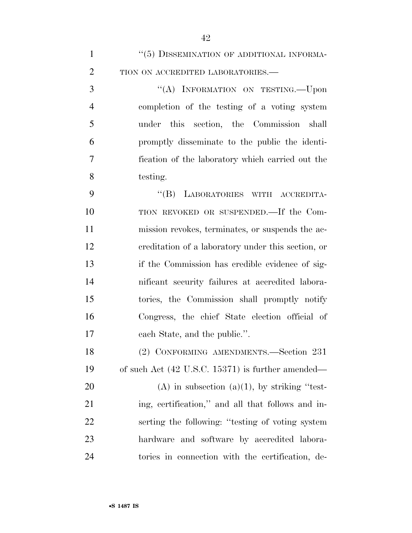| $\mathbf{1}$   | "(5) DISSEMINATION OF ADDITIONAL INFORMA-                    |
|----------------|--------------------------------------------------------------|
| $\overline{2}$ | TION ON ACCREDITED LABORATORIES.-                            |
| 3              | "(A) INFORMATION ON TESTING. - Upon                          |
| $\overline{4}$ | completion of the testing of a voting system                 |
| 5              | under this section, the Commission shall                     |
| 6              | promptly disseminate to the public the identi-               |
| 7              | fication of the laboratory which carried out the             |
| 8              | testing.                                                     |
| 9              | "(B) LABORATORIES WITH ACCREDITA-                            |
| 10             | TION REVOKED OR SUSPENDED.—If the Com-                       |
| 11             | mission revokes, terminates, or suspends the ac-             |
| 12             | ereditation of a laboratory under this section, or           |
| 13             | if the Commission has credible evidence of sig-              |
| 14             | nificant security failures at accredited labora-             |
| 15             | tories, the Commission shall promptly notify                 |
| 16             | Congress, the chief State election official of               |
| 17             | each State, and the public.".                                |
| 18             | (2) CONFORMING AMENDMENTS.-Section 231                       |
| 19             | of such Act $(42 \text{ U.S.C. } 15371)$ is further amended— |
| 20             | $(A)$ in subsection $(a)(1)$ , by striking "test-            |
| 21             | ing, certification," and all that follows and in-            |
| 22             | serting the following: "testing of voting system"            |
| 23             | hardware and software by accredited labora-                  |
| 24             | tories in connection with the certification, de-             |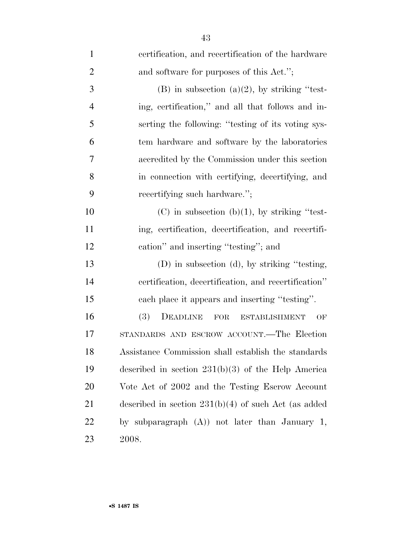| $\mathbf{1}$   | certification, and recertification of the hardware                 |
|----------------|--------------------------------------------------------------------|
| $\overline{2}$ | and software for purposes of this Act.";                           |
| 3              | $(B)$ in subsection $(a)(2)$ , by striking "test-                  |
| $\overline{4}$ | ing, certification," and all that follows and in-                  |
| 5              | serting the following: "testing of its voting sys-                 |
| 6              | tem hardware and software by the laboratories                      |
| 7              | accredited by the Commission under this section                    |
| 8              | in connection with certifying, decertifying, and                   |
| 9              | recertifying such hardware.";                                      |
| 10             | $(C)$ in subsection $(b)(1)$ , by striking "test-                  |
| 11             | ing, certification, decertification, and recertifi-                |
| 12             | cation" and inserting "testing"; and                               |
| 13             | (D) in subsection (d), by striking "testing,                       |
| 14             | certification, decertification, and recertification"               |
| 15             | each place it appears and inserting "testing".                     |
| 16             | <b>(3)</b><br>DEADLINE<br><b>FOR</b><br><b>ESTABLISHMENT</b><br>OF |
| 17             | STANDARDS AND ESCROW ACCOUNT.—The Election                         |
| 18             | Assistance Commission shall establish the standards                |
| 19             | described in section $231(b)(3)$ of the Help America               |
| <b>20</b>      | Vote Act of 2002 and the Testing Escrow Account                    |
| 21             | described in section $231(b)(4)$ of such Act (as added             |
| 22             | by subparagraph $(A)$ not later than January 1,                    |
| 23             | 2008.                                                              |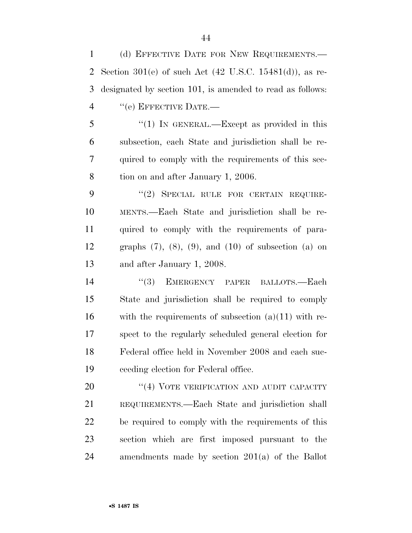(d) EFFECTIVE DATE FOR NEW REQUIREMENTS.— Section 301(e) of such Act (42 U.S.C. 15481(d)), as re- designated by section 101, is amended to read as follows: 4 "(e) EFFECTIVE DATE.—

5 "(1) In GENERAL.—Except as provided in this subsection, each State and jurisdiction shall be re- quired to comply with the requirements of this sec-tion on and after January 1, 2006.

9 "(2) SPECIAL RULE FOR CERTAIN REQUIRE- MENTS.—Each State and jurisdiction shall be re- quired to comply with the requirements of para- graphs (7), (8), (9), and (10) of subsection (a) on and after January 1, 2008.

14 "(3) EMERGENCY PAPER BALLOTS.—Each State and jurisdiction shall be required to comply 16 with the requirements of subsection  $(a)(11)$  with re- spect to the regularly scheduled general election for Federal office held in November 2008 and each suc-ceeding election for Federal office.

20 "(4) VOTE VERIFICATION AND AUDIT CAPACITY REQUIREMENTS.—Each State and jurisdiction shall be required to comply with the requirements of this section which are first imposed pursuant to the amendments made by section 201(a) of the Ballot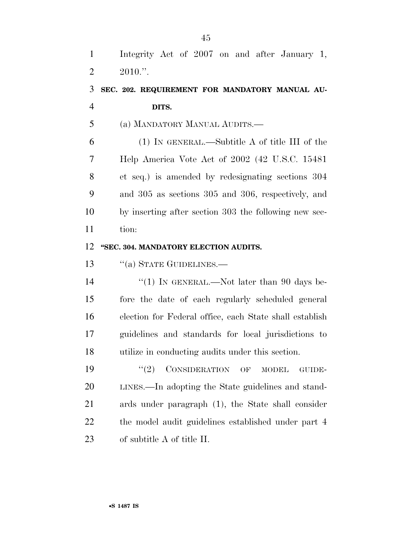Integrity Act of 2007 on and after January 1,  $2 \quad 2010."$ 

# **SEC. 202. REQUIREMENT FOR MANDATORY MANUAL AU-DITS.**

(a) MANDATORY MANUAL AUDITS.—

 (1) IN GENERAL.—Subtitle A of title III of the Help America Vote Act of 2002 (42 U.S.C. 15481 et seq.) is amended by redesignating sections 304 and 305 as sections 305 and 306, respectively, and by inserting after section 303 the following new sec-tion:

#### **''SEC. 304. MANDATORY ELECTION AUDITS.**

13 "(a) STATE GUIDELINES.—

14 "(1) IN GENERAL.—Not later than 90 days be- fore the date of each regularly scheduled general election for Federal office, each State shall establish guidelines and standards for local jurisdictions to utilize in conducting audits under this section.

19 "(2) CONSIDERATION OF MODEL GUIDE- LINES.—In adopting the State guidelines and stand- ards under paragraph (1), the State shall consider 22 the model audit guidelines established under part 4 of subtitle A of title II.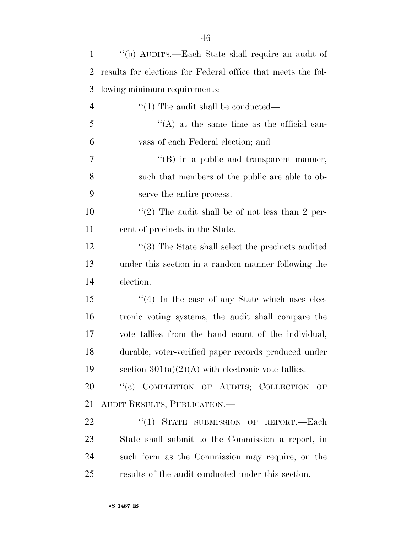| $\mathbf{1}$   | "(b) AUDITS.—Each State shall require an audit of            |
|----------------|--------------------------------------------------------------|
| $\overline{2}$ | results for elections for Federal office that meets the fol- |
| 3              | lowing minimum requirements:                                 |
| $\overline{4}$ | $\lq(1)$ The audit shall be conducted—                       |
| 5              | $\lq\lq$ at the same time as the official can-               |
| 6              | vass of each Federal election; and                           |
| 7              | $\lq\lq$ (B) in a public and transparent manner,             |
| 8              | such that members of the public are able to ob-              |
| 9              | serve the entire process.                                    |
| 10             | "(2) The audit shall be of not less than 2 per-              |
| 11             | cent of precincts in the State.                              |
| 12             | $\cdot$ (3) The State shall select the precincts audited     |
| 13             | under this section in a random manner following the          |
| 14             | election.                                                    |
| 15             | $\cdot$ (4) In the case of any State which uses elec-        |
| 16             | tronic voting systems, the audit shall compare the           |
| 17             | vote tallies from the hand count of the individual,          |
| 18             | durable, voter-verified paper records produced under         |
| 19             | section $301(a)(2)(A)$ with electronic vote tallies.         |
| 20             | "(c) COMPLETION OF AUDITS; COLLECTION OF                     |
| 21             | AUDIT RESULTS; PUBLICATION.-                                 |
| 22             | "(1) STATE SUBMISSION OF REPORT.-Each                        |
| 23             | State shall submit to the Commission a report, in            |
| 24             | such form as the Commission may require, on the              |
| 25             | results of the audit conducted under this section.           |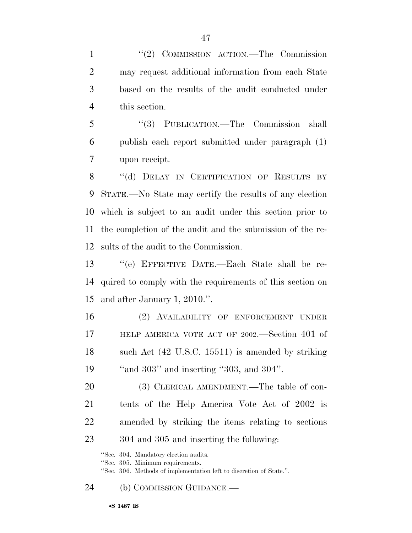1 ''(2) COMMISSION ACTION.—The Commission may request additional information from each State based on the results of the audit conducted under this section.

 ''(3) PUBLICATION.—The Commission shall publish each report submitted under paragraph (1) upon receipt.

8 "(d) DELAY IN CERTIFICATION OF RESULTS BY STATE.—No State may certify the results of any election which is subject to an audit under this section prior to the completion of the audit and the submission of the re-sults of the audit to the Commission.

 ''(e) EFFECTIVE DATE.—Each State shall be re- quired to comply with the requirements of this section on and after January 1, 2010.''.

 (2) AVAILABILITY OF ENFORCEMENT UNDER HELP AMERICA VOTE ACT OF 2002.—Section 401 of 18 such Act (42 U.S.C. 15511) is amended by striking ''and 303'' and inserting ''303, and 304''.

20 (3) CLERICAL AMENDMENT.—The table of con- tents of the Help America Vote Act of 2002 is amended by striking the items relating to sections 304 and 305 and inserting the following:

''Sec. 304. Mandatory election audits.

''Sec. 305. Minimum requirements.

''Sec. 306. Methods of implementation left to discretion of State.''.

(b) COMMISSION GUIDANCE.—

•**S 1487 IS**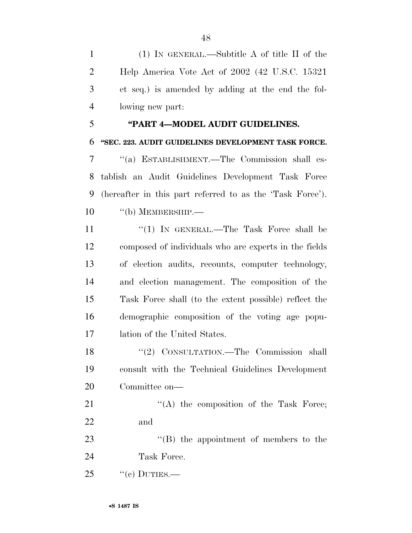(1) IN GENERAL.—Subtitle A of title II of the Help America Vote Act of 2002 (42 U.S.C. 15321 et seq.) is amended by adding at the end the fol-lowing new part:

#### **''PART 4—MODEL AUDIT GUIDELINES.**

#### **''SEC. 223. AUDIT GUIDELINES DEVELOPMENT TASK FORCE.**

 ''(a) ESTABLISHMENT.—The Commission shall es- tablish an Audit Guidelines Development Task Force (hereafter in this part referred to as the 'Task Force'). 10 "(b) MEMBERSHIP.—

11 ''(1) In GENERAL.—The Task Force shall be composed of individuals who are experts in the fields of election audits, recounts, computer technology, and election management. The composition of the Task Force shall (to the extent possible) reflect the demographic composition of the voting age popu-lation of the United States.

18 "(2) CONSULTATION.—The Commission shall consult with the Technical Guidelines Development Committee on—

21 "(A) the composition of the Task Force; and

23 "'(B) the appointment of members to the Task Force.

"(c) DUTIES.—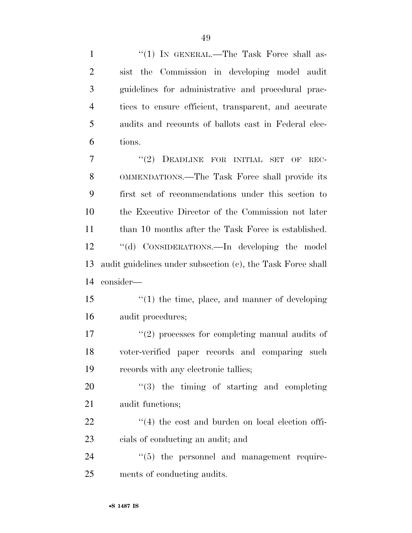1 "(1) IN GENERAL.—The Task Force shall as- sist the Commission in developing model audit guidelines for administrative and procedural prac- tices to ensure efficient, transparent, and accurate audits and recounts of ballots cast in Federal elec- tions. 7 "(2) DEADLINE FOR INITIAL SET OF REC- OMMENDATIONS.—The Task Force shall provide its first set of recommendations under this section to the Executive Director of the Commission not later 11 than 10 months after the Task Force is established. ''(d) CONSIDERATIONS.—In developing the model audit guidelines under subsection (c), the Task Force shall consider— ''(1) the time, place, and manner of developing audit procedures;  $\frac{u(2)}{2}$  processes for completing manual audits of voter-verified paper records and comparing such records with any electronic tallies;  $\qquad$   $\qquad$   $\qquad$   $\qquad$   $\qquad$   $\qquad$   $\qquad$   $\qquad$   $\qquad$   $\qquad$   $\qquad$   $\qquad$   $\qquad$   $\qquad$   $\qquad$   $\qquad$   $\qquad$   $\qquad$   $\qquad$   $\qquad$   $\qquad$   $\qquad$   $\qquad$   $\qquad$   $\qquad$   $\qquad$   $\qquad$   $\qquad$   $\qquad$   $\qquad$   $\qquad$   $\qquad$   $\qquad$   $\qquad$   $\qquad$   $\qquad$  audit functions;  $(4)$  the cost and burden on local election offi- cials of conducting an audit; and  $(5)$  the personnel and management require-ments of conducting audits.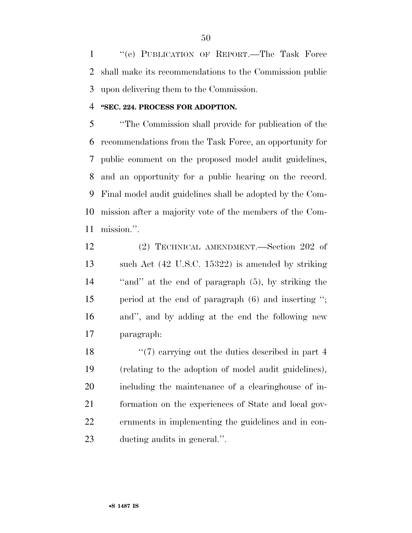''(e) PUBLICATION OF REPORT.—The Task Force shall make its recommendations to the Commission public upon delivering them to the Commission.

#### **''SEC. 224. PROCESS FOR ADOPTION.**

 ''The Commission shall provide for publication of the recommendations from the Task Force, an opportunity for public comment on the proposed model audit guidelines, and an opportunity for a public hearing on the record. Final model audit guidelines shall be adopted by the Com- mission after a majority vote of the members of the Com-mission.''.

 (2) TECHNICAL AMENDMENT.—Section 202 of such Act (42 U.S.C. 15322) is amended by striking ''and'' at the end of paragraph (5), by striking the period at the end of paragraph (6) and inserting ''; and'', and by adding at the end the following new paragraph:

18 ''(7) carrying out the duties described in part 4 (relating to the adoption of model audit guidelines), including the maintenance of a clearinghouse of in- formation on the experiences of State and local gov- ernments in implementing the guidelines and in con-ducting audits in general.''.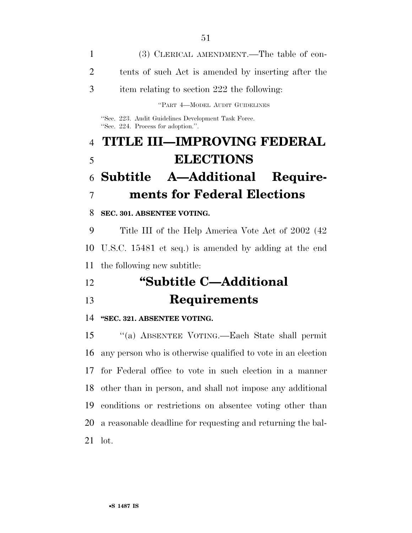(3) CLERICAL AMENDMENT.—The table of con- tents of such Act is amended by inserting after the item relating to section 222 the following: ''PART 4—MODEL AUDIT GUIDELINES ''Sec. 223. Audit Guidelines Development Task Force. ''Sec. 224. Process for adoption.''. **TITLE III—IMPROVING FEDERAL ELECTIONS Subtitle A—Additional Require- ments for Federal Elections SEC. 301. ABSENTEE VOTING.**  Title III of the Help America Vote Act of 2002 (42 U.S.C. 15481 et seq.) is amended by adding at the end the following new subtitle: **''Subtitle C—Additional Requirements ''SEC. 321. ABSENTEE VOTING.**  ''(a) ABSENTEE VOTING.—Each State shall permit any person who is otherwise qualified to vote in an election

 for Federal office to vote in such election in a manner other than in person, and shall not impose any additional conditions or restrictions on absentee voting other than a reasonable deadline for requesting and returning the bal-lot.

•**S 1487 IS**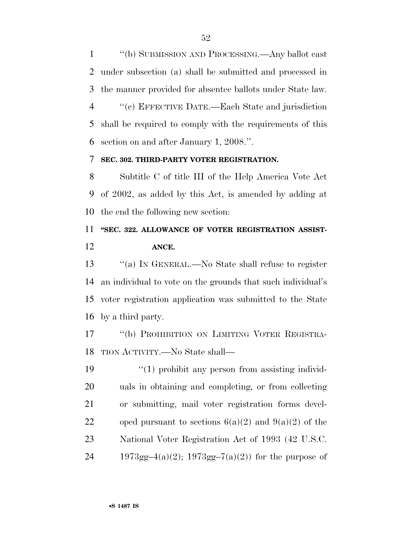''(b) SUBMISSION AND PROCESSING.—Any ballot cast under subsection (a) shall be submitted and processed in the manner provided for absentee ballots under State law. ''(c) EFFECTIVE DATE.—Each State and jurisdiction

 shall be required to comply with the requirements of this section on and after January 1, 2008.''.

#### **SEC. 302. THIRD-PARTY VOTER REGISTRATION.**

 Subtitle C of title III of the Help America Vote Act of 2002, as added by this Act, is amended by adding at the end the following new section:

# **''SEC. 322. ALLOWANCE OF VOTER REGISTRATION ASSIST-ANCE.**

 ''(a) IN GENERAL.—No State shall refuse to register an individual to vote on the grounds that such individual's voter registration application was submitted to the State by a third party.

 ''(b) PROHIBITION ON LIMITING VOTER REGISTRA-TION ACTIVITY.—No State shall—

 $\frac{1}{2}$  (1) prohibit any person from assisting individ- uals in obtaining and completing, or from collecting or submitting, mail voter registration forms devel-22 oped pursuant to sections  $6(a)(2)$  and  $9(a)(2)$  of the National Voter Registration Act of 1993 (42 U.S.C. 24 1973gg–4(a)(2); 1973gg–7(a)(2)) for the purpose of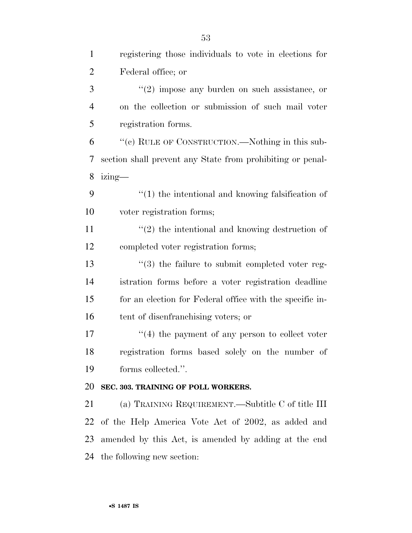| $\mathbf{1}$   | registering those individuals to vote in elections for     |
|----------------|------------------------------------------------------------|
| $\overline{2}$ | Federal office; or                                         |
| 3              | $\lq(2)$ impose any burden on such assistance, or          |
| $\overline{4}$ | on the collection or submission of such mail voter         |
| 5              | registration forms.                                        |
| 6              | "(c) RULE OF CONSTRUCTION.—Nothing in this sub-            |
| 7              | section shall prevent any State from prohibiting or penal- |
| 8              | $izing$ —                                                  |
| 9              | $\lq(1)$ the intentional and knowing falsification of      |
| 10             | voter registration forms;                                  |
| 11             | $\lq(2)$ the intentional and knowing destruction of        |
| 12             | completed voter registration forms;                        |
| 13             | $\cdot$ (3) the failure to submit completed voter reg-     |
| 14             | istration forms before a voter registration deadline       |
| 15             | for an election for Federal office with the specific in-   |
| 16             | tent of disenfranchising voters; or                        |
| 17             | $\cdot$ (4) the payment of any person to collect voter     |
| 18             | registration forms based solely on the number of           |
| 19             | forms collected.".                                         |
| 20             | SEC. 303. TRAINING OF POLL WORKERS.                        |
| 21             | (a) TRAINING REQUIREMENT.—Subtitle C of title III          |
| 22             | of the Help America Vote Act of 2002, as added and         |
| 23             | amended by this Act, is amended by adding at the end       |
| 24             | the following new section:                                 |
|                |                                                            |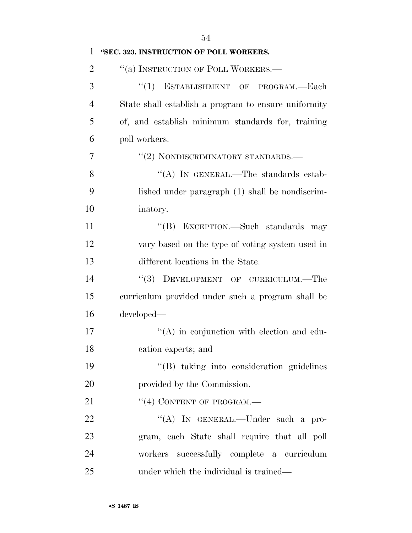| $\mathbf{1}$   | "SEC. 323. INSTRUCTION OF POLL WORKERS.              |
|----------------|------------------------------------------------------|
| $\overline{2}$ | "(a) INSTRUCTION OF POLL WORKERS.—                   |
| 3              | ``(1)<br>ESTABLISHMENT OF PROGRAM.-Each              |
| $\overline{4}$ | State shall establish a program to ensure uniformity |
| 5              | of, and establish minimum standards for, training    |
| 6              | poll workers.                                        |
| 7              | "(2) NONDISCRIMINATORY STANDARDS.—                   |
| 8              | "(A) IN GENERAL.—The standards estab-                |
| 9              | lished under paragraph (1) shall be nondiscrim-      |
| 10             | inatory.                                             |
| 11             | "(B) EXCEPTION.—Such standards may                   |
| 12             | vary based on the type of voting system used in      |
| 13             | different locations in the State.                    |
| 14             | DEVELOPMENT OF CURRICULUM.-The<br>(3)                |
| 15             | curriculum provided under such a program shall be    |
| 16             | developed—                                           |
| 17             | $\lq\lq$ in conjunction with election and edu-       |
| 18             | cation experts; and                                  |
| 19             | "(B) taking into consideration guidelines            |
| 20             | provided by the Commission.                          |
| 21             | $``(4)$ CONTENT OF PROGRAM.—                         |
| 22             | "(A) IN GENERAL.—Under such a pro-                   |
| 23             | gram, each State shall require that all poll         |
| 24             | workers successfully complete a curriculum           |
| 25             | under which the individual is trained—               |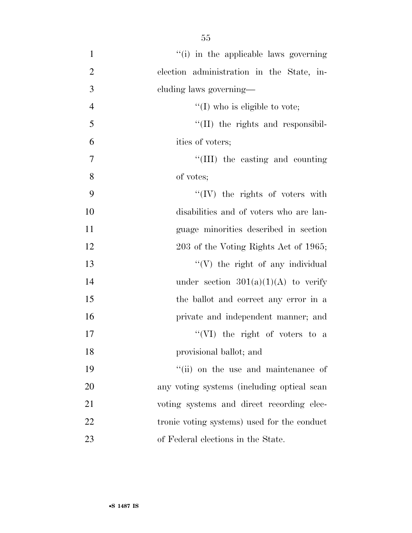$''(i)$  in the applicable laws governing election administration in the State, in- cluding laws governing—  $\text{``(I) who is eligible to vote};$  $\frac{1}{2}$  (II) the rights and responsibil- ities of voters;  $\frac{1}{1}$  the casting and counting of votes; 9 ''(IV) the rights of voters with disabilities and of voters who are lan- guage minorities described in section 12 203 of the Voting Rights Act of 1965; 13 ''(V) the right of any individual 14 under section  $301(a)(1)(A)$  to verify the ballot and correct any error in a private and independent manner; and ''(VI) the right of voters to a provisional ballot; and  $"$ (ii) on the use and maintenance of any voting systems (including optical scan voting systems and direct recording elec- tronic voting systems) used for the conduct of Federal elections in the State.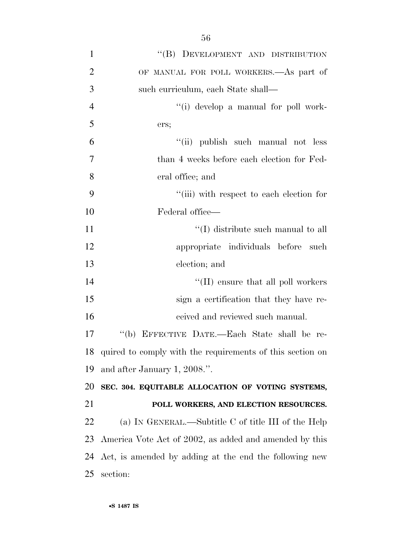| $\mathbf{1}$   | "(B) DEVELOPMENT AND DISTRIBUTION                            |
|----------------|--------------------------------------------------------------|
| $\overline{2}$ | OF MANUAL FOR POLL WORKERS.—As part of                       |
| 3              | such curriculum, each State shall—                           |
| $\overline{4}$ | "(i) develop a manual for poll work-                         |
| 5              | ers;                                                         |
| 6              | "(ii) publish such manual not less                           |
| 7              | than 4 weeks before each election for Fed-                   |
| 8              | eral office; and                                             |
| 9              | "(iii) with respect to each election for                     |
| 10             | Federal office-                                              |
| 11             | $\lq\lq$ (I) distribute such manual to all                   |
| 12             | appropriate individuals before<br>such                       |
| 13             | election; and                                                |
| 14             | $\lq\lq$ (II) ensure that all poll workers                   |
| 15             | sign a certification that they have re-                      |
| 16             | ceived and reviewed such manual.                             |
| 17             | "(b) EFFECTIVE DATE.-Each State shall be re-                 |
|                | 18 quired to comply with the requirements of this section on |
| 19             | and after January 1, 2008.".                                 |
| 20             | SEC. 304. EQUITABLE ALLOCATION OF VOTING SYSTEMS,            |
| 21             | POLL WORKERS, AND ELECTION RESOURCES.                        |
| 22             | (a) IN GENERAL.—Subtitle C of title III of the Help          |
| 23             | America Vote Act of 2002, as added and amended by this       |
| 24             | Act, is amended by adding at the end the following new       |
| 25             | section:                                                     |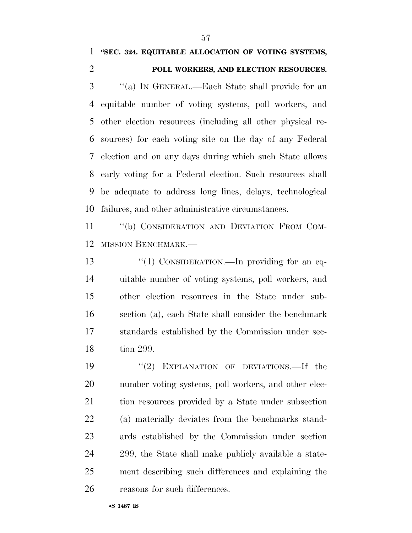#### **''SEC. 324. EQUITABLE ALLOCATION OF VOTING SYSTEMS,**

### **POLL WORKERS, AND ELECTION RESOURCES.**

 ''(a) IN GENERAL.—Each State shall provide for an equitable number of voting systems, poll workers, and other election resources (including all other physical re- sources) for each voting site on the day of any Federal election and on any days during which such State allows early voting for a Federal election. Such resources shall be adequate to address long lines, delays, technological failures, and other administrative circumstances.

11 "(b) CONSIDERATION AND DEVIATION FROM COM-MISSION BENCHMARK.—

13 "(1) CONSIDERATION.—In providing for an eq- uitable number of voting systems, poll workers, and other election resources in the State under sub- section (a), each State shall consider the benchmark standards established by the Commission under sec-tion 299.

19 "(2) EXPLANATION OF DEVIATIONS.—If the number voting systems, poll workers, and other elec- tion resources provided by a State under subsection (a) materially deviates from the benchmarks stand- ards established by the Commission under section 299, the State shall make publicly available a state- ment describing such differences and explaining the reasons for such differences.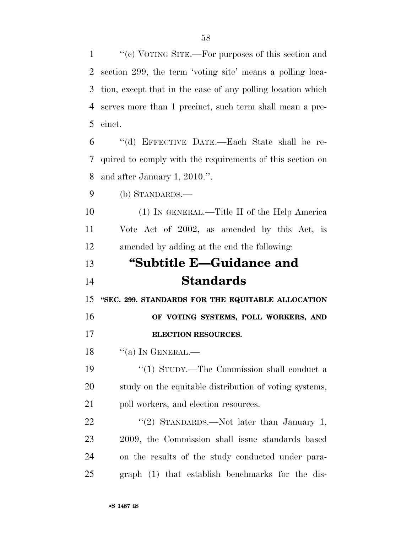1 ''(c) VOTING SITE.—For purposes of this section and

| 2         | section 299, the term 'voting site' means a polling loca-   |
|-----------|-------------------------------------------------------------|
| 3         | tion, except that in the case of any polling location which |
| 4         | serves more than 1 precinct, such term shall mean a pre-    |
| 5         | cinct.                                                      |
| 6         | "(d) EFFECTIVE DATE.—Each State shall be re-                |
| 7         | quired to comply with the requirements of this section on   |
| 8         | and after January 1, 2010.".                                |
| 9         | (b) STANDARDS.—                                             |
| 10        | (1) IN GENERAL.—Title II of the Help America                |
| 11        | Vote Act of 2002, as amended by this Act, is                |
| 12        | amended by adding at the end the following:                 |
| 13        | "Subtitle E-Guidance and                                    |
| 14        | <b>Standards</b>                                            |
|           |                                                             |
| 15        | "SEC. 299. STANDARDS FOR THE EQUITABLE ALLOCATION           |
| 16        | OF VOTING SYSTEMS, POLL WORKERS, AND                        |
| 17        | ELECTION RESOURCES.                                         |
| 18        | $\lq\lq$ (a) In GENERAL.—                                   |
| 19        | $``(1)$ STUDY.—The Commission shall conduct a               |
| <b>20</b> | study on the equitable distribution of voting systems,      |
| 21        | poll workers, and election resources.                       |
| <u>22</u> | "(2) STANDARDS.—Not later than January 1,                   |
| 23        | 2009, the Commission shall issue standards based            |
| 24        | on the results of the study conducted under para-           |
| 25        | graph (1) that establish benchmarks for the dis-            |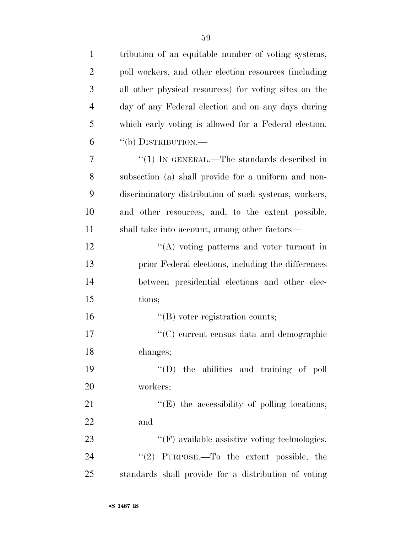| $\mathbf{1}$   | tribution of an equitable number of voting systems,   |
|----------------|-------------------------------------------------------|
| $\overline{2}$ | poll workers, and other election resources (including |
| 3              | all other physical resources) for voting sites on the |
| $\overline{4}$ | day of any Federal election and on any days during    |
| 5              | which early voting is allowed for a Federal election. |
| 6              | "(b) DISTRIBUTION.—                                   |
| 7              | "(1) IN GENERAL.—The standards described in           |
| 8              | subsection (a) shall provide for a uniform and non-   |
| 9              | discriminatory distribution of such systems, workers, |
| 10             | and other resources, and, to the extent possible,     |
| 11             | shall take into account, among other factors—         |
| 12             | $\lq\lq$ voting patterns and voter turnout in         |
| 13             | prior Federal elections, including the differences    |
| 14             | between presidential elections and other elec-        |
| 15             | tions;                                                |
| 16             | $\lq\lq$ voter registration counts;                   |
| 17             | "(C) current census data and demographic              |
| 18             | changes;                                              |
| 19             | $\lq\lq$ (D) the abilities and training of poll       |
| 20             | workers;                                              |
| 21             | $\lq\lq$ . The accessibility of polling locations;    |
| 22             | and                                                   |
| 23             | $\lq\lq(F)$ available assistive voting technologies.  |
| 24             | "(2) PURPOSE.—To the extent possible, the             |
| 25             | standards shall provide for a distribution of voting  |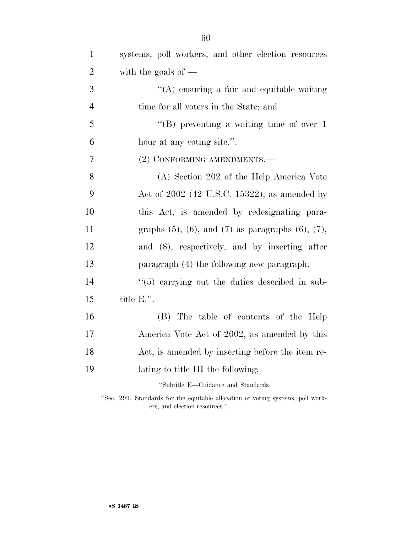| $\mathbf{1}$   | systems, poll workers, and other election resources            |
|----------------|----------------------------------------------------------------|
| $\overline{2}$ | with the goals of $-$                                          |
| 3              | "(A) ensuring a fair and equitable waiting                     |
| $\overline{4}$ | time for all voters in the State; and                          |
| 5              | "(B) preventing a waiting time of over $1$                     |
| 6              | hour at any voting site.".                                     |
| $\overline{7}$ | (2) CONFORMING AMENDMENTS.—                                    |
| 8              | (A) Section 202 of the Help America Vote                       |
| 9              | Act of $2002$ (42 U.S.C. 15322), as amended by                 |
| 10             | this Act, is amended by redesignating para-                    |
| 11             | graphs $(5)$ , $(6)$ , and $(7)$ as paragraphs $(6)$ , $(7)$ , |
| 12             | and (8), respectively, and by inserting after                  |
| 13             | paragraph (4) the following new paragraph.                     |
| 14             | $(5)$ carrying out the duties described in sub-                |
| 15             | title E.".                                                     |
| 16             | (B) The table of contents of the Help                          |
| 17             | America Vote Act of 2002, as amended by this                   |
| 18             | Act, is amended by inserting before the item re-               |
| 19             | lating to title III the following:                             |
|                | "Subtitle E-Guidance and Standards                             |

''Sec. 299. Standards for the equitable allocation of voting systems, poll workers, and election resources.''.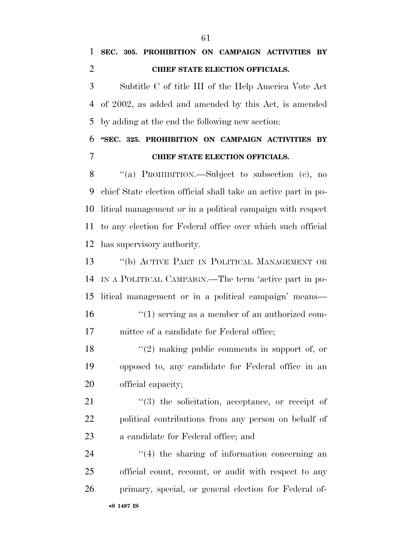Subtitle C of title III of the Help America Vote Act of 2002, as added and amended by this Act, is amended by adding at the end the following new section:

 **''SEC. 325. PROHIBITION ON CAMPAIGN ACTIVITIES BY CHIEF STATE ELECTION OFFICIALS.** 

 ''(a) PROHIBITION.—Subject to subsection (c), no chief State election official shall take an active part in po- litical management or in a political campaign with respect to any election for Federal office over which such official has supervisory authority.

 ''(b) ACTIVE PART IN POLITICAL MANAGEMENT OR IN A POLITICAL CAMPAIGN.—The term 'active part in po- litical management or in a political campaign' means— 16 ''(1) serving as a member of an authorized com-mittee of a candidate for Federal office;

 ''(2) making public comments in support of, or opposed to, any candidate for Federal office in an official capacity;

21  $\frac{1}{2}$   $\frac{1}{2}$  the solicitation, acceptance, or receipt of political contributions from any person on behalf of a candidate for Federal office; and

 ''(4) the sharing of information concerning an official count, recount, or audit with respect to any primary, special, or general election for Federal of-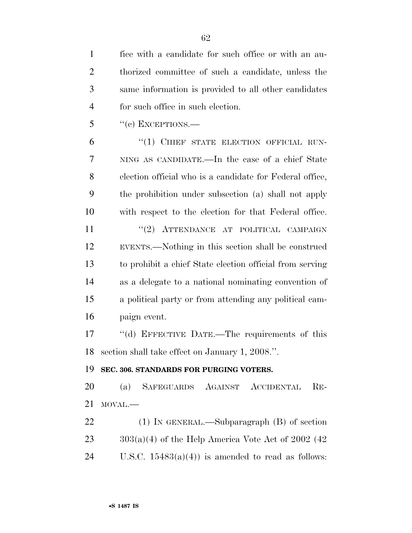| $\mathbf{1}$   | fice with a candidate for such office or with an au-     |
|----------------|----------------------------------------------------------|
| $\overline{2}$ | thorized committee of such a candidate, unless the       |
| 3              | same information is provided to all other candidates     |
| $\overline{4}$ | for such office in such election.                        |
| 5              | $``(e)$ EXCEPTIONS.—                                     |
| 6              | "(1) CHIEF STATE ELECTION OFFICIAL RUN-                  |
| 7              | NING AS CANDIDATE.—In the case of a chief State          |
| 8              | election official who is a candidate for Federal office, |
| 9              | the prohibition under subsection (a) shall not apply     |
| 10             | with respect to the election for that Federal office.    |
| 11             | "(2) ATTENDANCE AT POLITICAL CAMPAIGN                    |
| 12             | EVENTS.—Nothing in this section shall be construed       |
| 13             | to prohibit a chief State election official from serving |
| 14             | as a delegate to a national nominating convention of     |
| 15             | a political party or from attending any political cam-   |
| 16             | paign event.                                             |
| 17             | "(d) EFFECTIVE DATE.—The requirements of this            |
| 18             | section shall take effect on January 1, 2008.".          |
| 19             | SEC. 306. STANDARDS FOR PURGING VOTERS.                  |
| 20             | SAFEGUARDS AGAINST ACCIDENTAL<br>$RE-$<br>(a)            |
| 21             | MOVAL.-                                                  |
| 22             | $(1)$ In GENERAL.—Subparagraph $(B)$ of section          |
| 23             | $303(a)(4)$ of the Help America Vote Act of 2002 (42)    |
| 24             | U.S.C. $15483(a)(4)$ is amended to read as follows:      |
|                |                                                          |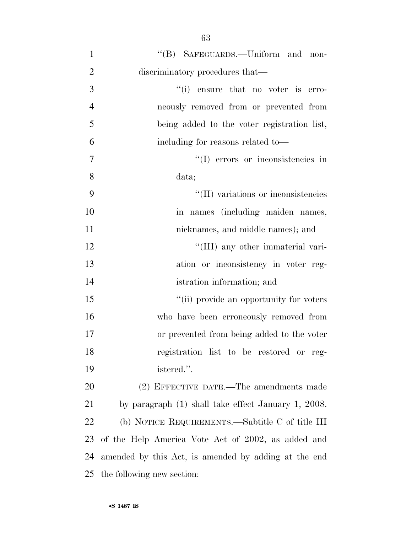| $\mathbf{1}$   | "(B) SAFEGUARDS.—Uniform and non-                    |
|----------------|------------------------------------------------------|
| $\overline{2}$ | discriminatory procedures that—                      |
| 3              | $f'(i)$ ensure that no voter is erro-                |
| $\overline{4}$ | neously removed from or prevented from               |
| 5              | being added to the voter registration list,          |
| 6              | including for reasons related to-                    |
| $\tau$         | "(I) errors or inconsistencies in                    |
| 8              | data;                                                |
| 9              | "(II) variations or inconsistencies                  |
| 10             | in names (including maiden names,                    |
| 11             | nicknames, and middle names); and                    |
| 12             | "(III) any other immaterial vari-                    |
| 13             | ation or inconsistency in voter reg-                 |
| 14             | istration information; and                           |
| 15             | "(ii) provide an opportunity for voters              |
| 16             | who have been erroneously removed from               |
| 17             | or prevented from being added to the voter           |
| 18             | registration list to be restored or reg-             |
| 19             | istered.".                                           |
| <b>20</b>      | (2) EFFECTIVE DATE.—The amendments made              |
| 21             | by paragraph (1) shall take effect January 1, 2008.  |
| 22             | (b) NOTICE REQUIREMENTS.—Subtitle C of title III     |
| 23             | of the Help America Vote Act of 2002, as added and   |
| 24             | amended by this Act, is amended by adding at the end |
| 25             | the following new section:                           |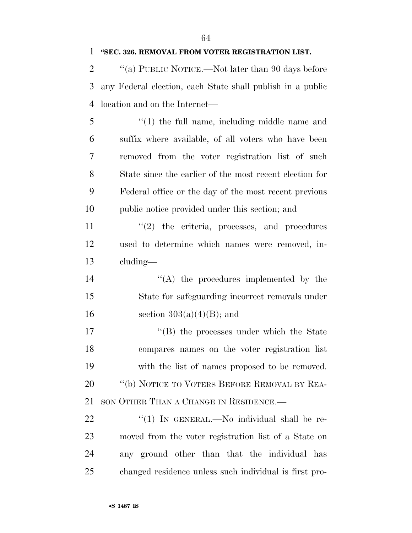#### **''SEC. 326. REMOVAL FROM VOTER REGISTRATION LIST.**

2  $\gamma$  (a) PUBLIC NOTICE.—Not later than 90 days before any Federal election, each State shall publish in a public location and on the Internet—

 ''(1) the full name, including middle name and suffix where available, of all voters who have been removed from the voter registration list of such State since the earlier of the most recent election for Federal office or the day of the most recent previous public notice provided under this section; and

11  $\frac{1}{2}$  the criteria, processes, and procedures used to determine which names were removed, in-cluding—

14 ''(A) the procedures implemented by the State for safeguarding incorrect removals under 16 section  $303(a)(4)(B)$ ; and

 $\text{``(B)}$  the processes under which the State compares names on the voter registration list with the list of names proposed to be removed. 20 "(b) NOTICE TO VOTERS BEFORE REMOVAL BY REA-SON OTHER THAN A CHANGE IN RESIDENCE.—

22 "(1) In GENERAL.—No individual shall be re- moved from the voter registration list of a State on any ground other than that the individual has changed residence unless such individual is first pro-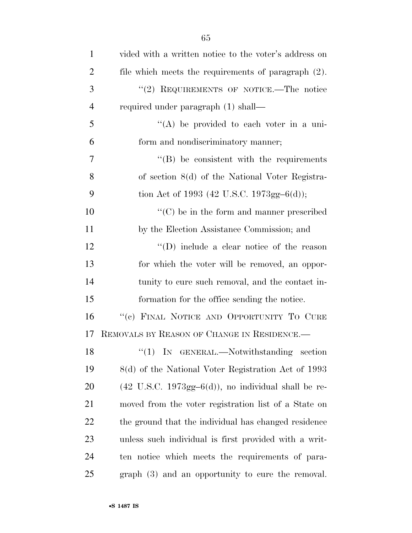| $\mathbf{1}$   | vided with a written notice to the voter's address on                     |
|----------------|---------------------------------------------------------------------------|
| $\overline{2}$ | file which meets the requirements of paragraph (2).                       |
| 3              | "(2) REQUIREMENTS OF NOTICE.—The notice                                   |
| $\overline{4}$ | required under paragraph (1) shall—                                       |
| 5              | "(A) be provided to each voter in a uni-                                  |
| 6              | form and nondiscriminatory manner;                                        |
| 7              | $\cdot$ (B) be consistent with the requirements                           |
| 8              | of section 8(d) of the National Voter Registra-                           |
| 9              | tion Act of 1993 (42 U.S.C. 1973gg-6(d));                                 |
| 10             | $\lq\lq$ (C) be in the form and manner prescribed                         |
| 11             | by the Election Assistance Commission; and                                |
| 12             | $\lq\lq$ (D) include a clear notice of the reason                         |
| 13             | for which the voter will be removed, an oppor-                            |
| 14             | tunity to cure such removal, and the contact in-                          |
| 15             | formation for the office sending the notice.                              |
| 16             | "(c) FINAL NOTICE AND OPPORTUNITY TO CURE                                 |
| 17             | REMOVALS BY REASON OF CHANGE IN RESIDENCE.                                |
| 18             | "(1) IN GENERAL.—Notwithstanding section                                  |
| 19             | 8(d) of the National Voter Registration Act of 1993                       |
| 20             | $(42 \text{ U.S.C. } 1973 \text{gg} - 6(d))$ , no individual shall be re- |
| 21             | moved from the voter registration list of a State on                      |
| 22             | the ground that the individual has changed residence                      |
| 23             | unless such individual is first provided with a writ-                     |
| 24             | ten notice which meets the requirements of para-                          |
| 25             | graph (3) and an opportunity to cure the removal.                         |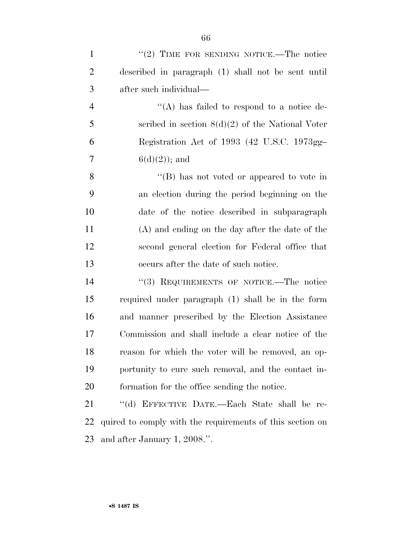| $\mathbf{1}$   | "(2) TIME FOR SENDING NOTICE.—The notice                  |
|----------------|-----------------------------------------------------------|
| $\overline{2}$ | described in paragraph (1) shall not be sent until        |
| 3              | after such individual—                                    |
| $\overline{4}$ | "(A) has failed to respond to a notice de-                |
| 5              | scribed in section $8(d)(2)$ of the National Voter        |
| 6              | Registration Act of 1993 (42 U.S.C. 1973gg-               |
| 7              | $6(d)(2)$ ; and                                           |
| 8              | "(B) has not voted or appeared to vote in                 |
| 9              | an election during the period beginning on the            |
| 10             | date of the notice described in subparagraph              |
| 11             | (A) and ending on the day after the date of the           |
| 12             | second general election for Federal office that           |
| 13             | occurs after the date of such notice.                     |
| 14             | "(3) REQUIREMENTS OF NOTICE.—The notice                   |
| 15             | required under paragraph (1) shall be in the form         |
| 16             | and manner prescribed by the Election Assistance          |
| 17             | Commission and shall include a clear notice of the        |
| 18             | reason for which the voter will be removed, an op-        |
| 19             | portunity to cure such removal, and the contact in-       |
| 20             | formation for the office sending the notice.              |
| 21             | "(d) EFFECTIVE DATE.—Each State shall be re-              |
| 22             | quired to comply with the requirements of this section on |
| 23             | and after January 1, 2008.".                              |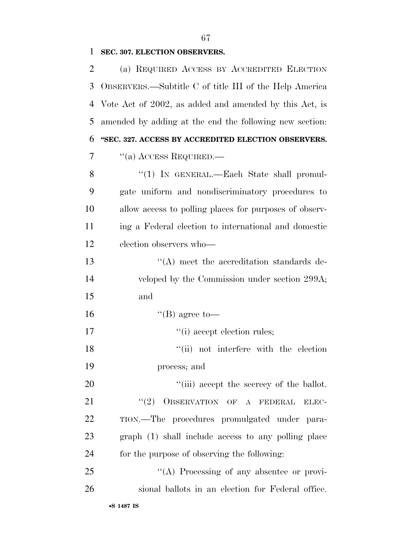## **SEC. 307. ELECTION OBSERVERS.**

| 2  | (a) REQUIRED ACCESS BY ACCREDITED ELECTION              |
|----|---------------------------------------------------------|
| 3  | OBSERVERS.—Subtitle C of title III of the Help America  |
| 4  | Vote Act of 2002, as added and amended by this Act, is  |
| 5  | amended by adding at the end the following new section: |
| 6  | "SEC. 327. ACCESS BY ACCREDITED ELECTION OBSERVERS.     |
| 7  | $\cdot$ (a) ACCESS REQUIRED.—                           |
| 8  | "(1) IN GENERAL.—Each State shall promul-               |
| 9  | gate uniform and nondiscriminatory procedures to        |
| 10 | allow access to polling places for purposes of observ-  |
| 11 | ing a Federal election to international and domestic    |
| 12 | election observers who-                                 |
| 13 | $\lq\lq$ meet the accreditation standards de-           |
| 14 | veloped by the Commission under section 299A;           |
| 15 | and                                                     |
| 16 | $\lq$ (B) agree to-                                     |
| 17 | "(i) accept election rules;                             |
| 18 | "(ii) not interfere with the election                   |
| 19 | process; and                                            |
| 20 | "(iii) accept the secrecy of the ballot.                |
| 21 | OBSERVATION OF A FEDERAL<br>(2)<br>ELEC-                |
| 22 | TION.—The procedures promulgated under para-            |
| 23 | graph (1) shall include access to any polling place     |
| 24 | for the purpose of observing the following:             |
| 25 | "(A) Processing of any absentee or provi-               |
| 26 | sional ballots in an election for Federal office.       |
|    |                                                         |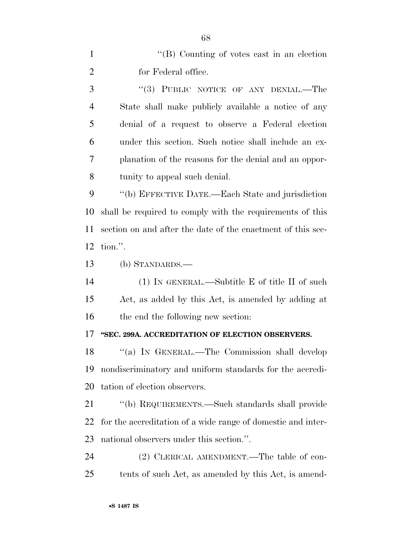1 ''(B) Counting of votes cast in an election for Federal office.

3 "(3) PUBLIC NOTICE OF ANY DENIAL.—The State shall make publicly available a notice of any denial of a request to observe a Federal election under this section. Such notice shall include an ex- planation of the reasons for the denial and an oppor-tunity to appeal such denial.

 ''(b) EFFECTIVE DATE.—Each State and jurisdiction shall be required to comply with the requirements of this section on and after the date of the enactment of this sec-tion.''.

(b) STANDARDS.—

 (1) IN GENERAL.—Subtitle E of title II of such Act, as added by this Act, is amended by adding at 16 the end the following new section:

#### **''SEC. 299A. ACCREDITATION OF ELECTION OBSERVERS.**

 ''(a) IN GENERAL.—The Commission shall develop nondiscriminatory and uniform standards for the accredi-tation of election observers.

 ''(b) REQUIREMENTS.—Such standards shall provide for the accreditation of a wide range of domestic and inter-national observers under this section.''.

24 (2) CLERICAL AMENDMENT.—The table of con-tents of such Act, as amended by this Act, is amend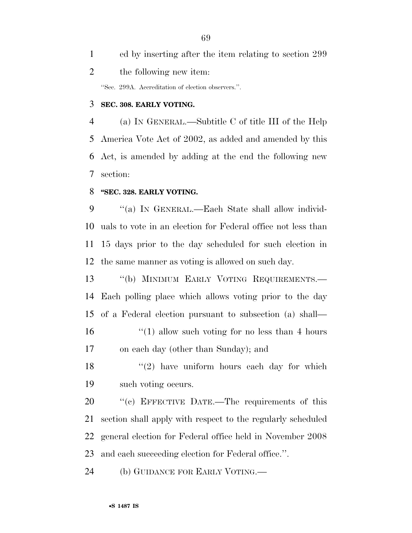ed by inserting after the item relating to section 299 the following new item: ''Sec. 299A. Accreditation of election observers.''.

#### **SEC. 308. EARLY VOTING.**

 (a) IN GENERAL.—Subtitle C of title III of the Help America Vote Act of 2002, as added and amended by this Act, is amended by adding at the end the following new section:

#### **''SEC. 328. EARLY VOTING.**

 ''(a) IN GENERAL.—Each State shall allow individ- uals to vote in an election for Federal office not less than 15 days prior to the day scheduled for such election in the same manner as voting is allowed on such day.

13 "(b) MINIMUM EARLY VOTING REQUIREMENTS.— Each polling place which allows voting prior to the day of a Federal election pursuant to subsection (a) shall— 16 ''(1) allow such voting for no less than 4 hours on each day (other than Sunday); and

 $\frac{18}{2}$  ''(2) have uniform hours each day for which such voting occurs.

20 "(c) EFFECTIVE DATE.—The requirements of this section shall apply with respect to the regularly scheduled general election for Federal office held in November 2008 and each succeeding election for Federal office.''.

(b) GUIDANCE FOR EARLY VOTING.—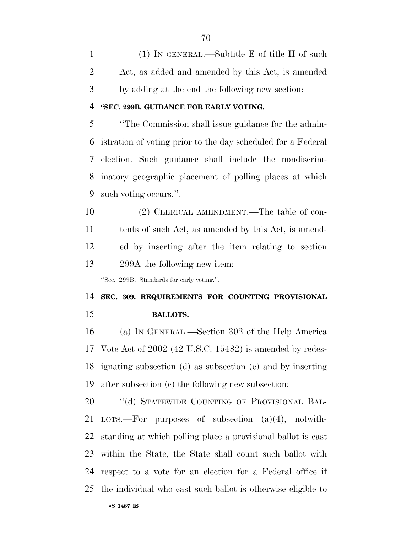(1) IN GENERAL.—Subtitle E of title II of such Act, as added and amended by this Act, is amended by adding at the end the following new section:

#### **''SEC. 299B. GUIDANCE FOR EARLY VOTING.**

 ''The Commission shall issue guidance for the admin- istration of voting prior to the day scheduled for a Federal election. Such guidance shall include the nondiscrim- inatory geographic placement of polling places at which such voting occurs.''.

 (2) CLERICAL AMENDMENT.—The table of con- tents of such Act, as amended by this Act, is amend- ed by inserting after the item relating to section 299A the following new item:

''Sec. 299B. Standards for early voting.''.

 **SEC. 309. REQUIREMENTS FOR COUNTING PROVISIONAL BALLOTS.** 

 (a) IN GENERAL.—Section 302 of the Help America Vote Act of 2002 (42 U.S.C. 15482) is amended by redes- ignating subsection (d) as subsection (e) and by inserting after subsection (c) the following new subsection:

20 "(d) STATEWIDE COUNTING OF PROVISIONAL BAL- LOTS.—For purposes of subsection (a)(4), notwith- standing at which polling place a provisional ballot is cast within the State, the State shall count such ballot with respect to a vote for an election for a Federal office if the individual who cast such ballot is otherwise eligible to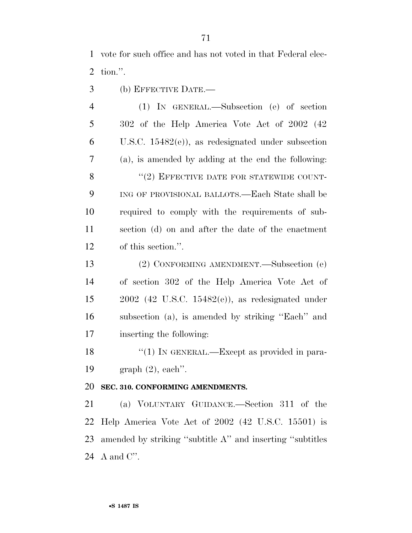vote for such office and has not voted in that Federal elec-tion.''.

(b) EFFECTIVE DATE.—

 (1) IN GENERAL.—Subsection (e) of section 302 of the Help America Vote Act of 2002 (42 U.S.C. 15482(e)), as redesignated under subsection (a), is amended by adding at the end the following: 8 "(2) EFFECTIVE DATE FOR STATEWIDE COUNT- ING OF PROVISIONAL BALLOTS.—Each State shall be required to comply with the requirements of sub- section (d) on and after the date of the enactment of this section.''.

 (2) CONFORMING AMENDMENT.—Subsection (e) of section 302 of the Help America Vote Act of 2002 (42 U.S.C. 15482(e)), as redesignated under subsection (a), is amended by striking ''Each'' and inserting the following:

18 "(1) IN GENERAL.—Except as provided in para-graph (2), each''.

#### **SEC. 310. CONFORMING AMENDMENTS.**

 (a) VOLUNTARY GUIDANCE.—Section 311 of the Help America Vote Act of 2002 (42 U.S.C. 15501) is amended by striking ''subtitle A'' and inserting ''subtitles A and C''.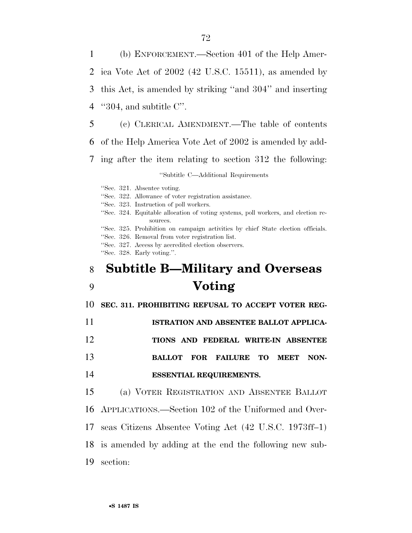(b) ENFORCEMENT.—Section 401 of the Help Amer- ica Vote Act of 2002 (42 U.S.C. 15511), as amended by this Act, is amended by striking ''and 304'' and inserting ''304, and subtitle C''. (c) CLERICAL AMENDMENT.—The table of contents

- of the Help America Vote Act of 2002 is amended by add-
- ing after the item relating to section 312 the following:

#### ''Subtitle C—Additional Requirements

''Sec. 321. Absentee voting.

- ''Sec. 322. Allowance of voter registration assistance.
- ''Sec. 323. Instruction of poll workers.
- ''Sec. 324. Equitable allocation of voting systems, poll workers, and election resources.

''Sec. 325. Prohibition on campaign activities by chief State election officials.

''Sec. 326. Removal from voter registration list.

''Sec. 327. Access by accredited election observers.

''Sec. 328. Early voting.''.

# **Subtitle B—Military and Overseas Voting**

**SEC. 311. PROHIBITING REFUSAL TO ACCEPT VOTER REG-**

- **ISTRATION AND ABSENTEE BALLOT APPLICA-**
- **TIONS AND FEDERAL WRITE-IN ABSENTEE**
- **BALLOT FOR FAILURE TO MEET NON-**
- **ESSENTIAL REQUIREMENTS.**

 (a) VOTER REGISTRATION AND ABSENTEE BALLOT APPLICATIONS.—Section 102 of the Uniformed and Over-

- seas Citizens Absentee Voting Act (42 U.S.C. 1973ff–1)
- is amended by adding at the end the following new sub-
- section: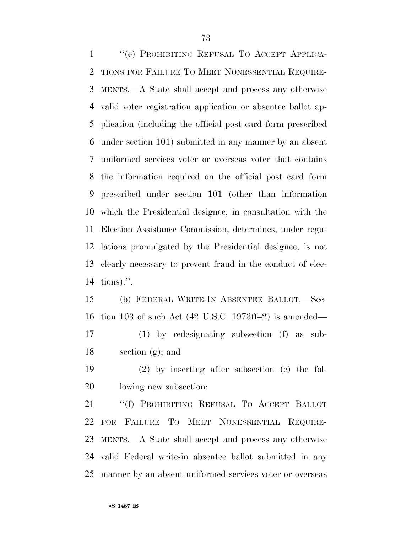''(e) PROHIBITING REFUSAL TO ACCEPT APPLICA- TIONS FOR FAILURE TO MEET NONESSENTIAL REQUIRE- MENTS.—A State shall accept and process any otherwise valid voter registration application or absentee ballot ap- plication (including the official post card form prescribed under section 101) submitted in any manner by an absent uniformed services voter or overseas voter that contains the information required on the official post card form prescribed under section 101 (other than information which the Presidential designee, in consultation with the Election Assistance Commission, determines, under regu- lations promulgated by the Presidential designee, is not clearly necessary to prevent fraud in the conduct of elec-tions).''.

 (b) FEDERAL WRITE-IN ABSENTEE BALLOT.—Sec- tion 103 of such Act (42 U.S.C. 1973ff–2) is amended— (1) by redesignating subsection (f) as sub-

section (g); and

 (2) by inserting after subsection (e) the fol-lowing new subsection:

 ''(f) PROHIBITING REFUSAL TO ACCEPT BALLOT FOR FAILURE TO MEET NONESSENTIAL REQUIRE- MENTS.—A State shall accept and process any otherwise valid Federal write-in absentee ballot submitted in any manner by an absent uniformed services voter or overseas